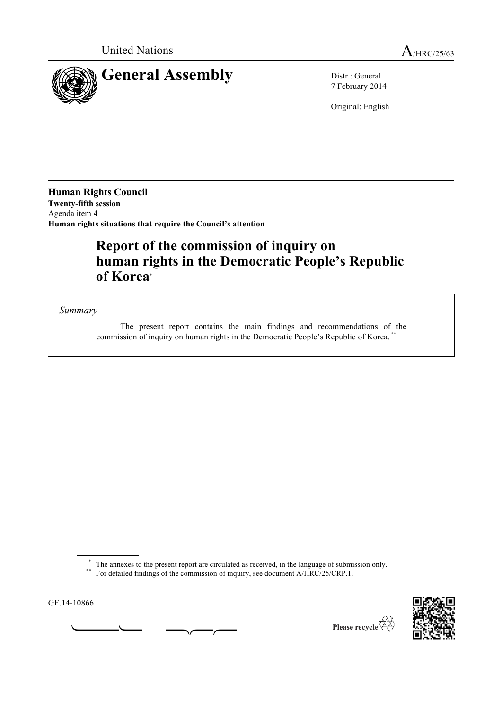

7 February 2014

Original: English

**Human Rights Council Twenty-fifth session** Agenda item 4 **Human rights situations that require the Council's attention**

# **Report of the commission of inquiry on human rights in the Democratic People's Republic of Korea**\*

*Summary*

The present report contains the main findings and recommendations of the commission of inquiry on human rights in the Democratic People's Republic of Korea. **\*\***

!"! #\$\$

GE.14-10866



Please recycle

The annexes to the present report are circulated as received, in the language of submission only.

<sup>\*\*</sup> For detailed findings of the commission of inquiry, see document A/HRC/25/CRP.1.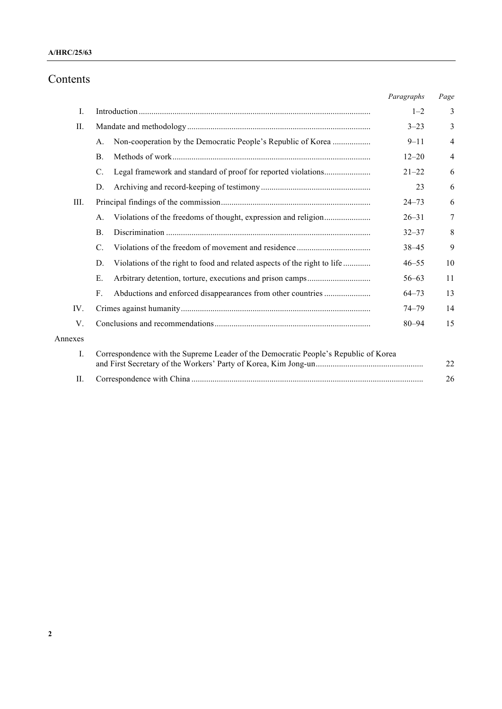# Contents

|         |                                                                                           |                                                                          | Paragraphs | Page |
|---------|-------------------------------------------------------------------------------------------|--------------------------------------------------------------------------|------------|------|
| Ι.      |                                                                                           |                                                                          | $1 - 2$    | 3    |
| П.      |                                                                                           |                                                                          | $3 - 23$   | 3    |
|         | А.                                                                                        | Non-cooperation by the Democratic People's Republic of Korea             | $9 - 11$   | 4    |
|         | $\mathbf{B}$ .                                                                            |                                                                          | $12 - 20$  | 4    |
|         | $\mathcal{C}$ .                                                                           | Legal framework and standard of proof for reported violations            | $21 - 22$  | 6    |
|         | D.                                                                                        |                                                                          | 23         | 6    |
| Ш.      |                                                                                           |                                                                          | $24 - 73$  | 6    |
|         | A.                                                                                        |                                                                          | $26 - 31$  | 7    |
|         | <b>B</b> .                                                                                |                                                                          | $32 - 37$  | 8    |
|         | $\mathcal{C}$ .                                                                           |                                                                          | $38 - 45$  | 9    |
|         | D.                                                                                        | Violations of the right to food and related aspects of the right to life | $46 - 55$  | 10   |
|         | Ε.                                                                                        |                                                                          | $56 - 63$  | 11   |
|         | F.                                                                                        | Abductions and enforced disappearances from other countries              | $64 - 73$  | 13   |
| IV.     | $74 - 79$                                                                                 |                                                                          | 14         |      |
| V.      | $80 - 94$                                                                                 |                                                                          | 15         |      |
| Annexes |                                                                                           |                                                                          |            |      |
| I.      | Correspondence with the Supreme Leader of the Democratic People's Republic of Korea<br>22 |                                                                          |            |      |
| П.      |                                                                                           |                                                                          |            | 26   |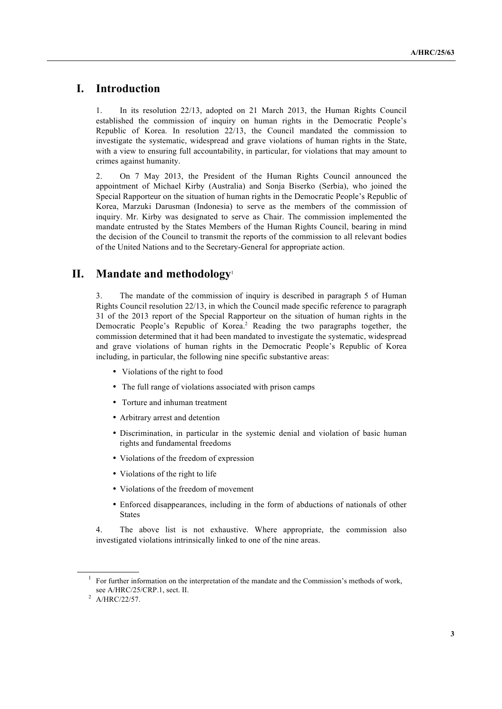# **I. Introduction**

1. In its resolution 22/13, adopted on 21 March 2013, the Human Rights Council established the commission of inquiry on human rights in the Democratic People's Republic of Korea. In resolution 22/13, the Council mandated the commission to investigate the systematic, widespread and grave violations of human rights in the State, with a view to ensuring full accountability, in particular, for violations that may amount to crimes against humanity.

2. On 7 May 2013, the President of the Human Rights Council announced the appointment of Michael Kirby (Australia) and Sonja Biserko (Serbia), who joined the Special Rapporteur on the situation of human rights in the Democratic People's Republic of Korea, Marzuki Darusman (Indonesia) to serve as the members of the commission of inquiry. Mr. Kirby was designated to serve as Chair. The commission implemented the mandate entrusted by the States Members of the Human Rights Council, bearing in mind the decision of the Council to transmit the reports of the commission to all relevant bodies of the United Nations and to the Secretary-General for appropriate action.

## **II. Mandate and methodology**<sup>1</sup>

3. The mandate of the commission of inquiry is described in paragraph 5 of Human Rights Council resolution 22/13, in which the Council made specific reference to paragraph 31 of the 2013 report of the Special Rapporteur on the situation of human rights in the Democratic People's Republic of Korea. <sup>2</sup> Reading the two paragraphs together, the commission determined that it had been mandated to investigate the systematic, widespread and grave violations of human rights in the Democratic People's Republic of Korea including, in particular, the following nine specific substantive areas:

- Violations of the right to food
- The full range of violations associated with prison camps
- Torture and inhuman treatment
- Arbitrary arrest and detention
- Discrimination, in particular in the systemic denial and violation of basic human rights and fundamental freedoms
- Violations of the freedom of expression
- Violations of the right to life
- Violations of the freedom of movement
- Enforced disappearances, including in the form of abductions of nationals of other States

4. The above list is not exhaustive. Where appropriate, the commission also investigated violations intrinsically linked to one of the nine areas.

<sup>1</sup> For further information on the interpretation of the mandate and the Commission's methods of work, see A/HRC/25/CRP.1, sect. II. 2 A/HRC/22/57.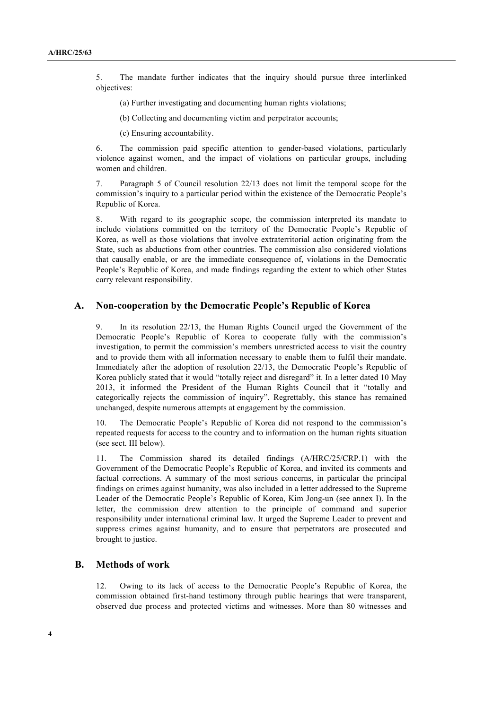5. The mandate further indicates that the inquiry should pursue three interlinked objectives:

(a) Further investigating and documenting human rights violations;

(b) Collecting and documenting victim and perpetrator accounts;

(c) Ensuring accountability.

6. The commission paid specific attention to gender-based violations, particularly violence against women, and the impact of violations on particular groups, including women and children.

7. Paragraph 5 of Council resolution 22/13 does not limit the temporal scope for the commission's inquiry to a particular period within the existence of the Democratic People's Republic of Korea.

8. With regard to its geographic scope, the commission interpreted its mandate to include violations committed on the territory of the Democratic People's Republic of Korea, as well as those violations that involve extraterritorial action originating from the State, such as abductions from other countries. The commission also considered violations that causally enable, or are the immediate consequence of, violations in the Democratic People's Republic of Korea, and made findings regarding the extent to which other States carry relevant responsibility.

#### **A. Non-cooperation by the Democratic People's Republic of Korea**

9. In its resolution 22/13, the Human Rights Council urged the Government of the Democratic People's Republic of Korea to cooperate fully with the commission's investigation, to permit the commission's members unrestricted access to visit the country and to provide them with all information necessary to enable them to fulfil their mandate. Immediately after the adoption of resolution 22/13, the Democratic People's Republic of Korea publicly stated that it would "totally reject and disregard" it. In a letter dated 10 May 2013, it informed the President of the Human Rights Council that it "totally and categorically rejects the commission of inquiry". Regrettably, this stance has remained unchanged, despite numerous attempts at engagement by the commission.

10. The Democratic People's Republic of Korea did not respond to the commission's repeated requests for access to the country and to information on the human rights situation (see sect. III below).

11. The Commission shared its detailed findings (A/HRC/25/CRP.1) with the Government of the Democratic People's Republic of Korea, and invited its comments and factual corrections. A summary of the most serious concerns, in particular the principal findings on crimes against humanity, was also included in a letter addressed to the Supreme Leader of the Democratic People's Republic of Korea, Kim Jong-un (see annex I). In the letter, the commission drew attention to the principle of command and superior responsibility under international criminal law. It urged the Supreme Leader to prevent and suppress crimes against humanity, and to ensure that perpetrators are prosecuted and brought to justice.

#### **B. Methods of work**

12. Owing to its lack of access to the Democratic People's Republic of Korea, the commission obtained first-hand testimony through public hearings that were transparent, observed due process and protected victims and witnesses. More than 80 witnesses and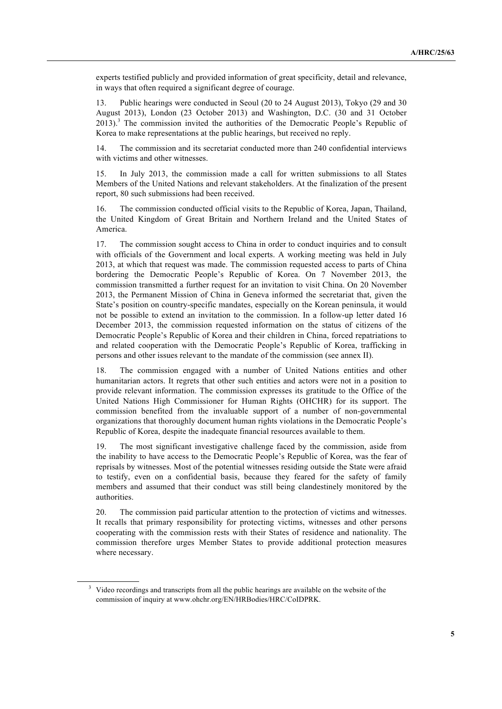experts testified publicly and provided information of great specificity, detail and relevance, in ways that often required a significant degree of courage.

13. Public hearings were conducted in Seoul (20 to 24 August 2013), Tokyo (29 and 30 August 2013), London (23 October 2013) and Washington, D.C. (30 and 31 October 2013).<sup>3</sup> The commission invited the authorities of the Democratic People's Republic of Korea to make representations at the public hearings, but received no reply.

14. The commission and its secretariat conducted more than 240 confidential interviews with victims and other witnesses.

15. In July 2013, the commission made a call for written submissions to all States Members of the United Nations and relevant stakeholders. At the finalization of the present report, 80 such submissions had been received.

16. The commission conducted official visits to the Republic of Korea, Japan, Thailand, the United Kingdom of Great Britain and Northern Ireland and the United States of America.

17. The commission sought access to China in order to conduct inquiries and to consult with officials of the Government and local experts. A working meeting was held in July 2013, at which that request was made. The commission requested access to parts of China bordering the Democratic People's Republic of Korea. On 7 November 2013, the commission transmitted a further request for an invitation to visit China. On 20 November 2013, the Permanent Mission of China in Geneva informed the secretariat that, given the State's position on country-specific mandates, especially on the Korean peninsula, it would not be possible to extend an invitation to the commission. In a follow-up letter dated 16 December 2013, the commission requested information on the status of citizens of the Democratic People's Republic of Korea and their children in China, forced repatriations to and related cooperation with the Democratic People's Republic of Korea, trafficking in persons and other issues relevant to the mandate of the commission (see annex II).

18. The commission engaged with a number of United Nations entities and other humanitarian actors. It regrets that other such entities and actors were not in a position to provide relevant information. The commission expresses its gratitude to the Office of the United Nations High Commissioner for Human Rights (OHCHR) for its support. The commission benefited from the invaluable support of a number of non-governmental organizations that thoroughly document human rights violations in the Democratic People's Republic of Korea, despite the inadequate financial resources available to them.

19. The most significant investigative challenge faced by the commission, aside from the inability to have access to the Democratic People's Republic of Korea, was the fear of reprisals by witnesses. Most of the potential witnesses residing outside the State were afraid to testify, even on a confidential basis, because they feared for the safety of family members and assumed that their conduct was still being clandestinely monitored by the authorities.

20. The commission paid particular attention to the protection of victims and witnesses. It recalls that primary responsibility for protecting victims, witnesses and other persons cooperating with the commission rests with their States of residence and nationality. The commission therefore urges Member States to provide additional protection measures where necessary.

<sup>&</sup>lt;sup>3</sup> Video recordings and transcripts from all the public hearings are available on the website of the commission of inquiry at www.ohchr.org/EN/HRBodies/HRC/CoIDPRK.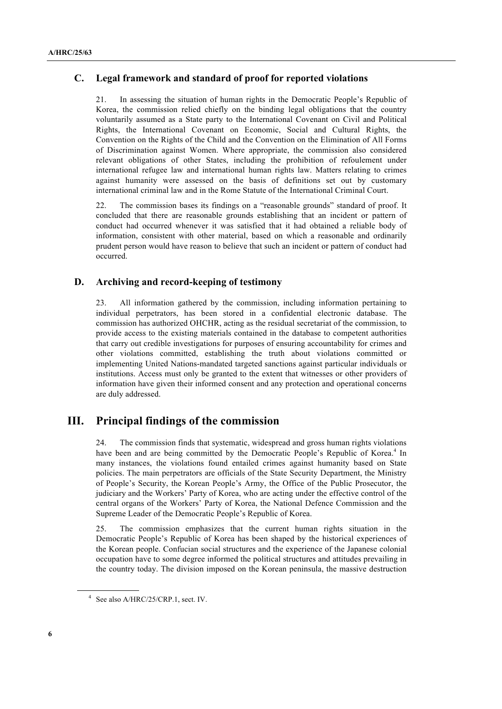#### **C. Legal framework and standard of proof for reported violations**

21. In assessing the situation of human rights in the Democratic People's Republic of Korea, the commission relied chiefly on the binding legal obligations that the country voluntarily assumed as a State party to the International Covenant on Civil and Political Rights, the International Covenant on Economic, Social and Cultural Rights, the Convention on the Rights of the Child and the Convention on the Elimination of All Forms of Discrimination against Women. Where appropriate, the commission also considered relevant obligations of other States, including the prohibition of refoulement under international refugee law and international human rights law. Matters relating to crimes against humanity were assessed on the basis of definitions set out by customary international criminal law and in the Rome Statute of the International Criminal Court.

22. The commission bases its findings on a "reasonable grounds" standard of proof. It concluded that there are reasonable grounds establishing that an incident or pattern of conduct had occurred whenever it was satisfied that it had obtained a reliable body of information, consistent with other material, based on which a reasonable and ordinarily prudent person would have reason to believe that such an incident or pattern of conduct had occurred.

#### **D. Archiving and record-keeping of testimony**

23. All information gathered by the commission, including information pertaining to individual perpetrators, has been stored in a confidential electronic database. The commission has authorized OHCHR, acting as the residual secretariat of the commission, to provide access to the existing materials contained in the database to competent authorities that carry out credible investigations for purposes of ensuring accountability for crimes and other violations committed, establishing the truth about violations committed or implementing United Nations-mandated targeted sanctions against particular individuals or institutions. Access must only be granted to the extent that witnesses or other providers of information have given their informed consent and any protection and operational concerns are duly addressed.

# **III. Principal findings of the commission**

24. The commission finds that systematic, widespread and gross human rights violations have been and are being committed by the Democratic People's Republic of Korea.<sup>4</sup> In many instances, the violations found entailed crimes against humanity based on State policies. The main perpetrators are officials of the State Security Department, the Ministry of People's Security, the Korean People's Army, the Office of the Public Prosecutor, the judiciary and the Workers' Party of Korea, who are acting under the effective control of the central organs of the Workers' Party of Korea, the National Defence Commission and the Supreme Leader of the Democratic People's Republic of Korea.

25. The commission emphasizes that the current human rights situation in the Democratic People's Republic of Korea has been shaped by the historical experiences of the Korean people. Confucian social structures and the experience of the Japanese colonial occupation have to some degree informed the political structures and attitudes prevailing in the country today. The division imposed on the Korean peninsula, the massive destruction

<sup>4</sup> See also A/HRC/25/CRP.1, sect. IV.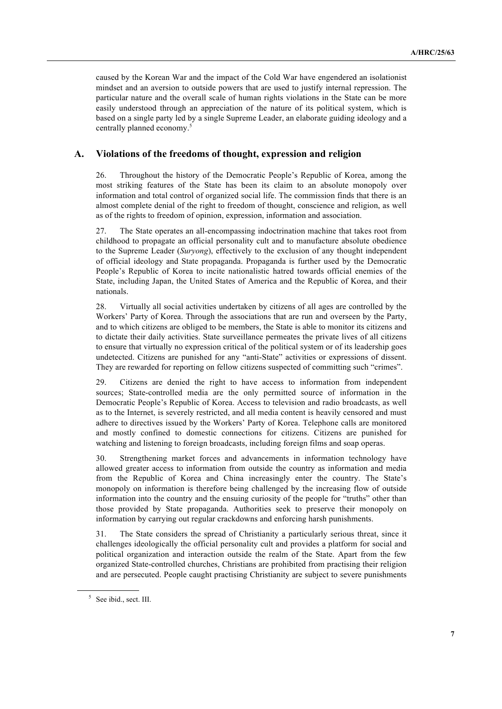caused by the Korean War and the impact of the Cold War have engendered an isolationist mindset and an aversion to outside powers that are used to justify internal repression. The particular nature and the overall scale of human rights violations in the State can be more easily understood through an appreciation of the nature of its political system, which is based on a single party led by a single Supreme Leader, an elaborate guiding ideology and a centrally planned economy.<sup>5</sup>

### **A. Violations of the freedoms of thought, expression and religion**

26. Throughout the history of the Democratic People's Republic of Korea, among the most striking features of the State has been its claim to an absolute monopoly over information and total control of organized social life. The commission finds that there is an almost complete denial of the right to freedom of thought, conscience and religion, as well as of the rights to freedom of opinion, expression, information and association.

27. The State operates an all-encompassing indoctrination machine that takes root from childhood to propagate an official personality cult and to manufacture absolute obedience to the Supreme Leader (*Suryong*), effectively to the exclusion of any thought independent of official ideology and State propaganda. Propaganda is further used by the Democratic People's Republic of Korea to incite nationalistic hatred towards official enemies of the State, including Japan, the United States of America and the Republic of Korea, and their nationals.

28. Virtually all social activities undertaken by citizens of all ages are controlled by the Workers' Party of Korea. Through the associations that are run and overseen by the Party, and to which citizens are obliged to be members, the State is able to monitor its citizens and to dictate their daily activities. State surveillance permeates the private lives of all citizens to ensure that virtually no expression critical of the political system or of its leadership goes undetected. Citizens are punished for any "anti-State" activities or expressions of dissent. They are rewarded for reporting on fellow citizens suspected of committing such "crimes".

29. Citizens are denied the right to have access to information from independent sources; State-controlled media are the only permitted source of information in the Democratic People's Republic of Korea. Access to television and radio broadcasts, as well as to the Internet, is severely restricted, and all media content is heavily censored and must adhere to directives issued by the Workers' Party of Korea. Telephone calls are monitored and mostly confined to domestic connections for citizens. Citizens are punished for watching and listening to foreign broadcasts, including foreign films and soap operas.

30. Strengthening market forces and advancements in information technology have allowed greater access to information from outside the country as information and media from the Republic of Korea and China increasingly enter the country. The State's monopoly on information is therefore being challenged by the increasing flow of outside information into the country and the ensuing curiosity of the people for "truths" other than those provided by State propaganda. Authorities seek to preserve their monopoly on information by carrying out regular crackdowns and enforcing harsh punishments.

31. The State considers the spread of Christianity a particularly serious threat, since it challenges ideologically the official personality cult and provides a platform for social and political organization and interaction outside the realm of the State. Apart from the few organized State-controlled churches, Christians are prohibited from practising their religion and are persecuted. People caught practising Christianity are subject to severe punishments

<sup>5</sup> See ibid., sect. III.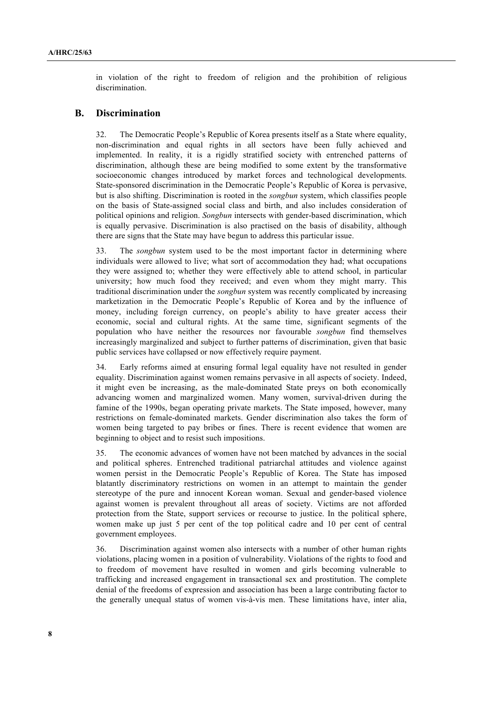in violation of the right to freedom of religion and the prohibition of religious discrimination.

#### **B. Discrimination**

32. The Democratic People's Republic of Korea presents itself as a State where equality, non-discrimination and equal rights in all sectors have been fully achieved and implemented. In reality, it is a rigidly stratified society with entrenched patterns of discrimination, although these are being modified to some extent by the transformative socioeconomic changes introduced by market forces and technological developments. State-sponsored discrimination in the Democratic People's Republic of Korea is pervasive, but is also shifting. Discrimination is rooted in the *songbun* system, which classifies people on the basis of State-assigned social class and birth, and also includes consideration of political opinions and religion. *Songbun* intersects with gender-based discrimination, which is equally pervasive. Discrimination is also practised on the basis of disability, although there are signs that the State may have begun to address this particular issue.

33. The *songbun* system used to be the most important factor in determining where individuals were allowed to live; what sort of accommodation they had; what occupations they were assigned to; whether they were effectively able to attend school, in particular university; how much food they received; and even whom they might marry. This traditional discrimination under the *songbun* system was recently complicated by increasing marketization in the Democratic People's Republic of Korea and by the influence of money, including foreign currency, on people's ability to have greater access their economic, social and cultural rights. At the same time, significant segments of the population who have neither the resources nor favourable *songbun* find themselves increasingly marginalized and subject to further patterns of discrimination, given that basic public services have collapsed or now effectively require payment.

34. Early reforms aimed at ensuring formal legal equality have not resulted in gender equality. Discrimination against women remains pervasive in all aspects of society. Indeed, it might even be increasing, as the male-dominated State preys on both economically advancing women and marginalized women. Many women, survival-driven during the famine of the 1990s, began operating private markets. The State imposed, however, many restrictions on female-dominated markets. Gender discrimination also takes the form of women being targeted to pay bribes or fines. There is recent evidence that women are beginning to object and to resist such impositions.

35. The economic advances of women have not been matched by advances in the social and political spheres. Entrenched traditional patriarchal attitudes and violence against women persist in the Democratic People's Republic of Korea. The State has imposed blatantly discriminatory restrictions on women in an attempt to maintain the gender stereotype of the pure and innocent Korean woman. Sexual and gender-based violence against women is prevalent throughout all areas of society. Victims are not afforded protection from the State, support services or recourse to justice. In the political sphere, women make up just 5 per cent of the top political cadre and 10 per cent of central government employees.

36. Discrimination against women also intersects with a number of other human rights violations, placing women in a position of vulnerability. Violations of the rights to food and to freedom of movement have resulted in women and girls becoming vulnerable to trafficking and increased engagement in transactional sex and prostitution. The complete denial of the freedoms of expression and association has been a large contributing factor to the generally unequal status of women vis-à-vis men. These limitations have, inter alia,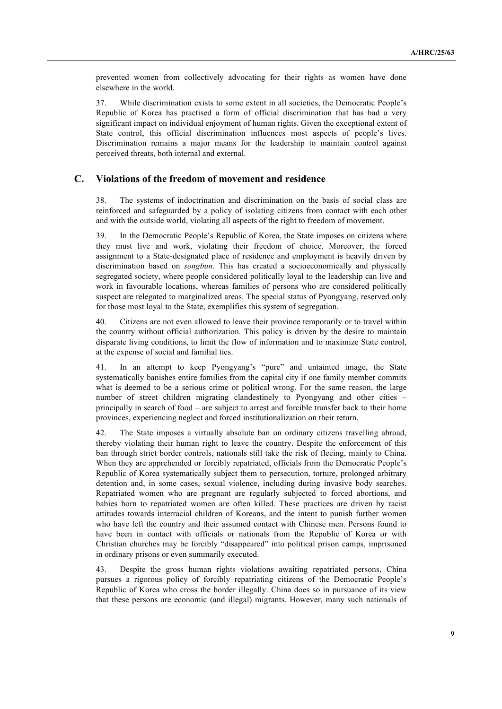prevented women from collectively advocating for their rights as women have done elsewhere in the world.

37. While discrimination exists to some extent in all societies, the Democratic People's Republic of Korea has practised a form of official discrimination that has had a very significant impact on individual enjoyment of human rights. Given the exceptional extent of State control, this official discrimination influences most aspects of people's lives. Discrimination remains a major means for the leadership to maintain control against perceived threats, both internal and external.

#### **C. Violations of the freedom of movement and residence**

38. The systems of indoctrination and discrimination on the basis of social class are reinforced and safeguarded by a policy of isolating citizens from contact with each other and with the outside world, violating all aspects of the right to freedom of movement.

39. In the Democratic People's Republic of Korea, the State imposes on citizens where they must live and work, violating their freedom of choice. Moreover, the forced assignment to a State-designated place of residence and employment is heavily driven by discrimination based on *songbun*. This has created a socioeconomically and physically segregated society, where people considered politically loyal to the leadership can live and work in favourable locations, whereas families of persons who are considered politically suspect are relegated to marginalized areas. The special status of Pyongyang, reserved only for those most loyal to the State, exemplifies this system of segregation.

40. Citizens are not even allowed to leave their province temporarily or to travel within the country without official authorization. This policy is driven by the desire to maintain disparate living conditions, to limit the flow of information and to maximize State control, at the expense of social and familial ties.

41. In an attempt to keep Pyongyang's "pure" and untainted image, the State systematically banishes entire families from the capital city if one family member commits what is deemed to be a serious crime or political wrong. For the same reason, the large number of street children migrating clandestinely to Pyongyang and other cities – principally in search of food – are subject to arrest and forcible transfer back to their home provinces, experiencing neglect and forced institutionalization on their return.

42. The State imposes a virtually absolute ban on ordinary citizens travelling abroad, thereby violating their human right to leave the country. Despite the enforcement of this ban through strict border controls, nationals still take the risk of fleeing, mainly to China. When they are apprehended or forcibly repatriated, officials from the Democratic People's Republic of Korea systematically subject them to persecution, torture, prolonged arbitrary detention and, in some cases, sexual violence, including during invasive body searches. Repatriated women who are pregnant are regularly subjected to forced abortions, and babies born to repatriated women are often killed. These practices are driven by racist attitudes towards interracial children of Koreans, and the intent to punish further women who have left the country and their assumed contact with Chinese men. Persons found to have been in contact with officials or nationals from the Republic of Korea or with Christian churches may be forcibly "disappeared" into political prison camps, imprisoned in ordinary prisons or even summarily executed.

43. Despite the gross human rights violations awaiting repatriated persons, China pursues a rigorous policy of forcibly repatriating citizens of the Democratic People's Republic of Korea who cross the border illegally. China does so in pursuance of its view that these persons are economic (and illegal) migrants. However, many such nationals of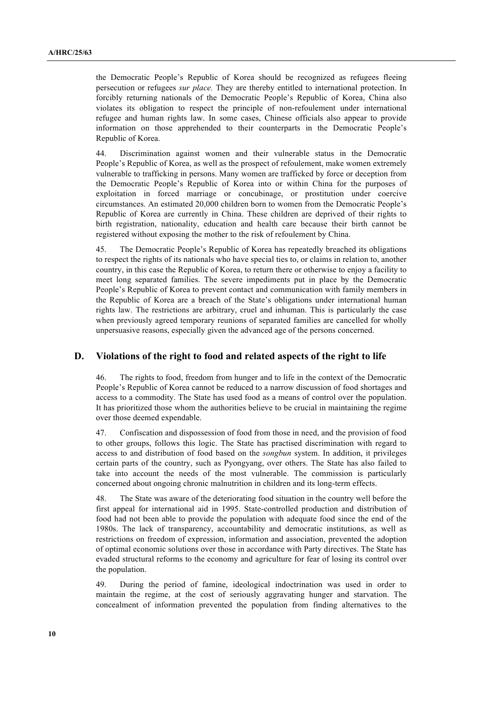the Democratic People's Republic of Korea should be recognized as refugees fleeing persecution or refugees *sur place.* They are thereby entitled to international protection. In forcibly returning nationals of the Democratic People's Republic of Korea, China also violates its obligation to respect the principle of non-refoulement under international refugee and human rights law. In some cases, Chinese officials also appear to provide information on those apprehended to their counterparts in the Democratic People's Republic of Korea.

44. Discrimination against women and their vulnerable status in the Democratic People's Republic of Korea, as well as the prospect of refoulement, make women extremely vulnerable to trafficking in persons. Many women are trafficked by force or deception from the Democratic People's Republic of Korea into or within China for the purposes of exploitation in forced marriage or concubinage, or prostitution under coercive circumstances. An estimated 20,000 children born to women from the Democratic People's Republic of Korea are currently in China. These children are deprived of their rights to birth registration, nationality, education and health care because their birth cannot be registered without exposing the mother to the risk of refoulement by China.

45. The Democratic People's Republic of Korea has repeatedly breached its obligations to respect the rights of its nationals who have special ties to, or claims in relation to, another country, in this case the Republic of Korea, to return there or otherwise to enjoy a facility to meet long separated families. The severe impediments put in place by the Democratic People's Republic of Korea to prevent contact and communication with family members in the Republic of Korea are a breach of the State's obligations under international human rights law. The restrictions are arbitrary, cruel and inhuman. This is particularly the case when previously agreed temporary reunions of separated families are cancelled for wholly unpersuasive reasons, especially given the advanced age of the persons concerned.

#### **D. Violations of the right to food and related aspects of the right to life**

46. The rights to food, freedom from hunger and to life in the context of the Democratic People's Republic of Korea cannot be reduced to a narrow discussion of food shortages and access to a commodity. The State has used food as a means of control over the population. It has prioritized those whom the authorities believe to be crucial in maintaining the regime over those deemed expendable.

47. Confiscation and dispossession of food from those in need, and the provision of food to other groups, follows this logic. The State has practised discrimination with regard to access to and distribution of food based on the *songbun* system. In addition, it privileges certain parts of the country, such as Pyongyang, over others. The State has also failed to take into account the needs of the most vulnerable. The commission is particularly concerned about ongoing chronic malnutrition in children and its long-term effects.

48. The State was aware of the deteriorating food situation in the country well before the first appeal for international aid in 1995. State-controlled production and distribution of food had not been able to provide the population with adequate food since the end of the 1980s. The lack of transparency, accountability and democratic institutions, as well as restrictions on freedom of expression, information and association, prevented the adoption of optimal economic solutions over those in accordance with Party directives. The State has evaded structural reforms to the economy and agriculture for fear of losing its control over the population.

49. During the period of famine, ideological indoctrination was used in order to maintain the regime, at the cost of seriously aggravating hunger and starvation. The concealment of information prevented the population from finding alternatives to the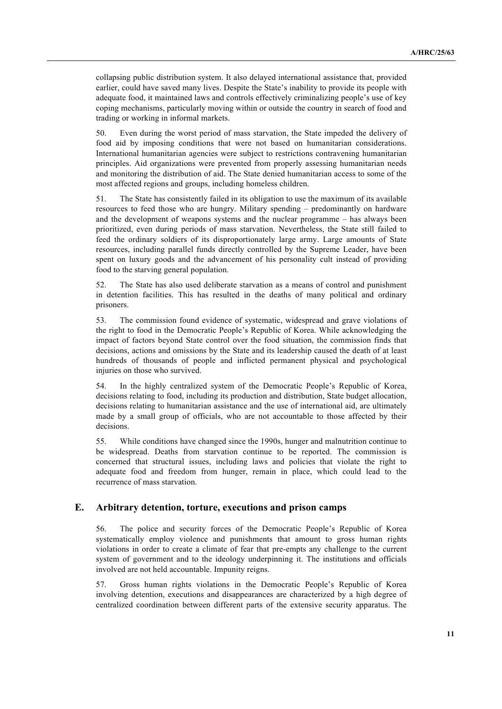collapsing public distribution system. It also delayed international assistance that, provided earlier, could have saved many lives. Despite the State's inability to provide its people with adequate food, it maintained laws and controls effectively criminalizing people's use of key coping mechanisms, particularly moving within or outside the country in search of food and trading or working in informal markets.

50. Even during the worst period of mass starvation, the State impeded the delivery of food aid by imposing conditions that were not based on humanitarian considerations. International humanitarian agencies were subject to restrictions contravening humanitarian principles. Aid organizations were prevented from properly assessing humanitarian needs and monitoring the distribution of aid. The State denied humanitarian access to some of the most affected regions and groups, including homeless children.

51. The State has consistently failed in its obligation to use the maximum of its available resources to feed those who are hungry. Military spending – predominantly on hardware and the development of weapons systems and the nuclear programme – has always been prioritized, even during periods of mass starvation. Nevertheless, the State still failed to feed the ordinary soldiers of its disproportionately large army. Large amounts of State resources, including parallel funds directly controlled by the Supreme Leader, have been spent on luxury goods and the advancement of his personality cult instead of providing food to the starving general population.

52. The State has also used deliberate starvation as a means of control and punishment in detention facilities. This has resulted in the deaths of many political and ordinary prisoners.

53. The commission found evidence of systematic, widespread and grave violations of the right to food in the Democratic People's Republic of Korea. While acknowledging the impact of factors beyond State control over the food situation, the commission finds that decisions, actions and omissions by the State and its leadership caused the death of at least hundreds of thousands of people and inflicted permanent physical and psychological injuries on those who survived.

54. In the highly centralized system of the Democratic People's Republic of Korea, decisions relating to food, including its production and distribution, State budget allocation, decisions relating to humanitarian assistance and the use of international aid, are ultimately made by a small group of officials, who are not accountable to those affected by their decisions.

55. While conditions have changed since the 1990s, hunger and malnutrition continue to be widespread. Deaths from starvation continue to be reported. The commission is concerned that structural issues, including laws and policies that violate the right to adequate food and freedom from hunger, remain in place, which could lead to the recurrence of mass starvation.

#### **E. Arbitrary detention, torture, executions and prison camps**

56. The police and security forces of the Democratic People's Republic of Korea systematically employ violence and punishments that amount to gross human rights violations in order to create a climate of fear that pre-empts any challenge to the current system of government and to the ideology underpinning it. The institutions and officials involved are not held accountable. Impunity reigns.

57. Gross human rights violations in the Democratic People's Republic of Korea involving detention, executions and disappearances are characterized by a high degree of centralized coordination between different parts of the extensive security apparatus. The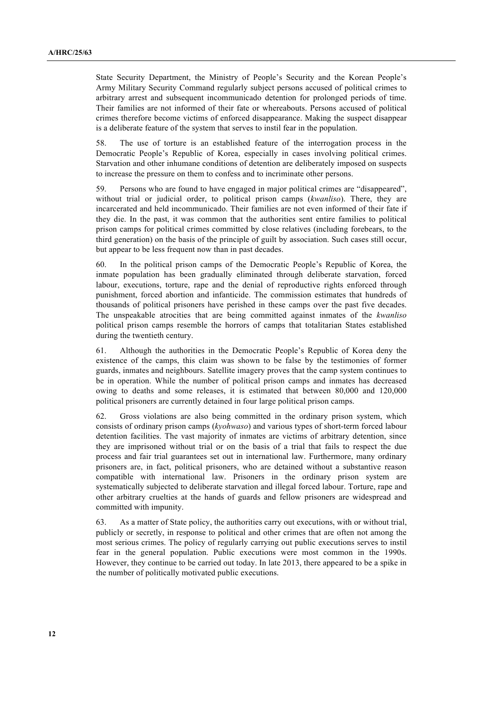State Security Department, the Ministry of People's Security and the Korean People's Army Military Security Command regularly subject persons accused of political crimes to arbitrary arrest and subsequent incommunicado detention for prolonged periods of time. Their families are not informed of their fate or whereabouts. Persons accused of political crimes therefore become victims of enforced disappearance. Making the suspect disappear is a deliberate feature of the system that serves to instil fear in the population.

58. The use of torture is an established feature of the interrogation process in the Democratic People's Republic of Korea, especially in cases involving political crimes. Starvation and other inhumane conditions of detention are deliberately imposed on suspects to increase the pressure on them to confess and to incriminate other persons.

59. Persons who are found to have engaged in major political crimes are "disappeared", without trial or judicial order, to political prison camps (*kwanliso*). There, they are incarcerated and held incommunicado. Their families are not even informed of their fate if they die. In the past, it was common that the authorities sent entire families to political prison camps for political crimes committed by close relatives (including forebears, to the third generation) on the basis of the principle of guilt by association. Such cases still occur, but appear to be less frequent now than in past decades.

60. In the political prison camps of the Democratic People's Republic of Korea, the inmate population has been gradually eliminated through deliberate starvation, forced labour, executions, torture, rape and the denial of reproductive rights enforced through punishment, forced abortion and infanticide. The commission estimates that hundreds of thousands of political prisoners have perished in these camps over the past five decades. The unspeakable atrocities that are being committed against inmates of the *kwanliso* political prison camps resemble the horrors of camps that totalitarian States established during the twentieth century.

61. Although the authorities in the Democratic People's Republic of Korea deny the existence of the camps, this claim was shown to be false by the testimonies of former guards, inmates and neighbours. Satellite imagery proves that the camp system continues to be in operation. While the number of political prison camps and inmates has decreased owing to deaths and some releases, it is estimated that between 80,000 and 120,000 political prisoners are currently detained in four large political prison camps.

62. Gross violations are also being committed in the ordinary prison system, which consists of ordinary prison camps (*kyohwaso*) and various types of short-term forced labour detention facilities. The vast majority of inmates are victims of arbitrary detention, since they are imprisoned without trial or on the basis of a trial that fails to respect the due process and fair trial guarantees set out in international law. Furthermore, many ordinary prisoners are, in fact, political prisoners, who are detained without a substantive reason compatible with international law. Prisoners in the ordinary prison system are systematically subjected to deliberate starvation and illegal forced labour. Torture, rape and other arbitrary cruelties at the hands of guards and fellow prisoners are widespread and committed with impunity.

63. As a matter of State policy, the authorities carry out executions, with or without trial, publicly or secretly, in response to political and other crimes that are often not among the most serious crimes. The policy of regularly carrying out public executions serves to instil fear in the general population. Public executions were most common in the 1990s. However, they continue to be carried out today. In late 2013, there appeared to be a spike in the number of politically motivated public executions.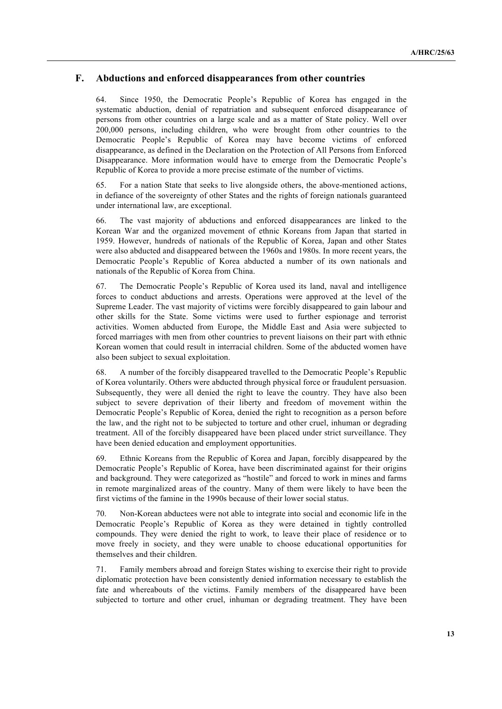#### **F. Abductions and enforced disappearances from other countries**

64. Since 1950, the Democratic People's Republic of Korea has engaged in the systematic abduction, denial of repatriation and subsequent enforced disappearance of persons from other countries on a large scale and as a matter of State policy. Well over 200,000 persons, including children, who were brought from other countries to the Democratic People's Republic of Korea may have become victims of enforced disappearance, as defined in the Declaration on the Protection of All Persons from Enforced Disappearance. More information would have to emerge from the Democratic People's Republic of Korea to provide a more precise estimate of the number of victims.

65. For a nation State that seeks to live alongside others, the above-mentioned actions, in defiance of the sovereignty of other States and the rights of foreign nationals guaranteed under international law, are exceptional.

66. The vast majority of abductions and enforced disappearances are linked to the Korean War and the organized movement of ethnic Koreans from Japan that started in 1959. However, hundreds of nationals of the Republic of Korea, Japan and other States were also abducted and disappeared between the 1960s and 1980s. In more recent years, the Democratic People's Republic of Korea abducted a number of its own nationals and nationals of the Republic of Korea from China.

67. The Democratic People's Republic of Korea used its land, naval and intelligence forces to conduct abductions and arrests. Operations were approved at the level of the Supreme Leader. The vast majority of victims were forcibly disappeared to gain labour and other skills for the State. Some victims were used to further espionage and terrorist activities. Women abducted from Europe, the Middle East and Asia were subjected to forced marriages with men from other countries to prevent liaisons on their part with ethnic Korean women that could result in interracial children. Some of the abducted women have also been subject to sexual exploitation.

68. A number of the forcibly disappeared travelled to the Democratic People's Republic of Korea voluntarily. Others were abducted through physical force or fraudulent persuasion. Subsequently, they were all denied the right to leave the country. They have also been subject to severe deprivation of their liberty and freedom of movement within the Democratic People's Republic of Korea, denied the right to recognition as a person before the law, and the right not to be subjected to torture and other cruel, inhuman or degrading treatment. All of the forcibly disappeared have been placed under strict surveillance. They have been denied education and employment opportunities.

69. Ethnic Koreans from the Republic of Korea and Japan, forcibly disappeared by the Democratic People's Republic of Korea, have been discriminated against for their origins and background. They were categorized as "hostile" and forced to work in mines and farms in remote marginalized areas of the country. Many of them were likely to have been the first victims of the famine in the 1990s because of their lower social status.

70. Non-Korean abductees were not able to integrate into social and economic life in the Democratic People's Republic of Korea as they were detained in tightly controlled compounds. They were denied the right to work, to leave their place of residence or to move freely in society, and they were unable to choose educational opportunities for themselves and their children.

71. Family members abroad and foreign States wishing to exercise their right to provide diplomatic protection have been consistently denied information necessary to establish the fate and whereabouts of the victims. Family members of the disappeared have been subjected to torture and other cruel, inhuman or degrading treatment. They have been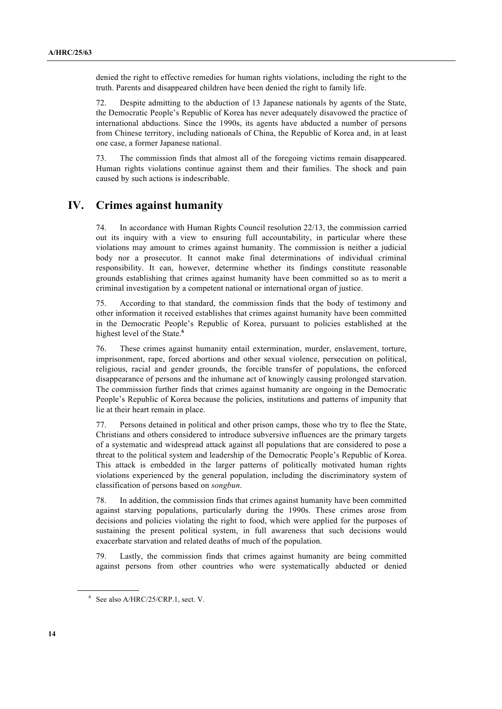denied the right to effective remedies for human rights violations, including the right to the truth. Parents and disappeared children have been denied the right to family life.

72. Despite admitting to the abduction of 13 Japanese nationals by agents of the State, the Democratic People's Republic of Korea has never adequately disavowed the practice of international abductions. Since the 1990s, its agents have abducted a number of persons from Chinese territory, including nationals of China, the Republic of Korea and, in at least one case, a former Japanese national.

73. The commission finds that almost all of the foregoing victims remain disappeared. Human rights violations continue against them and their families. The shock and pain caused by such actions is indescribable.

# **IV. Crimes against humanity**

74. In accordance with Human Rights Council resolution 22/13, the commission carried out its inquiry with a view to ensuring full accountability, in particular where these violations may amount to crimes against humanity. The commission is neither a judicial body nor a prosecutor. It cannot make final determinations of individual criminal responsibility. It can, however, determine whether its findings constitute reasonable grounds establishing that crimes against humanity have been committed so as to merit a criminal investigation by a competent national or international organ of justice.

75. According to that standard, the commission finds that the body of testimony and other information it received establishes that crimes against humanity have been committed in the Democratic People's Republic of Korea, pursuant to policies established at the highest level of the State.**<sup>6</sup>**

76. These crimes against humanity entail extermination, murder, enslavement, torture, imprisonment, rape, forced abortions and other sexual violence, persecution on political, religious, racial and gender grounds, the forcible transfer of populations, the enforced disappearance of persons and the inhumane act of knowingly causing prolonged starvation. The commission further finds that crimes against humanity are ongoing in the Democratic People's Republic of Korea because the policies, institutions and patterns of impunity that lie at their heart remain in place.

77. Persons detained in political and other prison camps, those who try to flee the State, Christians and others considered to introduce subversive influences are the primary targets of a systematic and widespread attack against all populations that are considered to pose a threat to the political system and leadership of the Democratic People's Republic of Korea. This attack is embedded in the larger patterns of politically motivated human rights violations experienced by the general population, including the discriminatory system of classification of persons based on *songbun*.

78. In addition, the commission finds that crimes against humanity have been committed against starving populations, particularly during the 1990s. These crimes arose from decisions and policies violating the right to food, which were applied for the purposes of sustaining the present political system, in full awareness that such decisions would exacerbate starvation and related deaths of much of the population.

79. Lastly, the commission finds that crimes against humanity are being committed against persons from other countries who were systematically abducted or denied

 $6$  See also A/HRC/25/CRP.1, sect. V.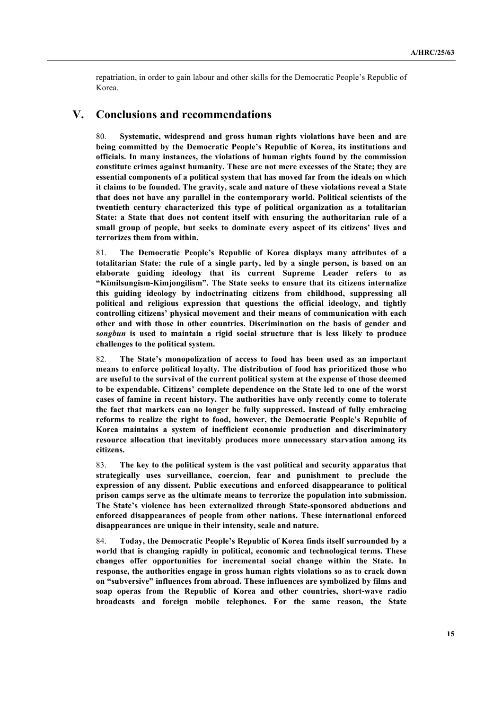repatriation, in order to gain labour and other skills for the Democratic People's Republic of Korea.

### **V. Conclusions and recommendations**

80. **Systematic, widespread and gross human rights violations have been and are being committed by the Democratic People's Republic of Korea, its institutions and officials. In many instances, the violations of human rights found by the commission constitute crimes against humanity. These are not mere excesses of the State; they are essential components of a political system that has moved far from the ideals on which it claims to be founded. The gravity, scale and nature of these violations reveal a State that does not have any parallel in the contemporary world. Political scientists of the twentieth century characterized this type of political organization as a totalitarian State: a State that does not content itself with ensuring the authoritarian rule of a small group of people, but seeks to dominate every aspect of its citizens' lives and terrorizes them from within.**

81. **The Democratic People's Republic of Korea displays many attributes of a totalitarian State: the rule of a single party, led by a single person, is based on an elaborate guiding ideology that its current Supreme Leader refers to as "Kimilsungism-Kimjongilism". The State seeks to ensure that its citizens internalize this guiding ideology by indoctrinating citizens from childhood, suppressing all political and religious expression that questions the official ideology, and tightly controlling citizens' physical movement and their means of communication with each other and with those in other countries. Discrimination on the basis of gender and**  *songbun* **is used to maintain a rigid social structure that is less likely to produce challenges to the political system.** 

82. **The State's monopolization of access to food has been used as an important means to enforce political loyalty. The distribution of food has prioritized those who are useful to the survival of the current political system at the expense of those deemed to be expendable. Citizens' complete dependence on the State led to one of the worst cases of famine in recent history. The authorities have only recently come to tolerate the fact that markets can no longer be fully suppressed. Instead of fully embracing reforms to realize the right to food, however, the Democratic People's Republic of Korea maintains a system of inefficient economic production and discriminatory resource allocation that inevitably produces more unnecessary starvation among its citizens.**

83. **The key to the political system is the vast political and security apparatus that strategically uses surveillance, coercion, fear and punishment to preclude the expression of any dissent. Public executions and enforced disappearance to political prison camps serve as the ultimate means to terrorize the population into submission. The State's violence has been externalized through State-sponsored abductions and enforced disappearances of people from other nations. These international enforced disappearances are unique in their intensity, scale and nature.** 

84. **Today, the Democratic People's Republic of Korea finds itself surrounded by a world that is changing rapidly in political, economic and technological terms. These changes offer opportunities for incremental social change within the State. In response, the authorities engage in gross human rights violations so as to crack down on "subversive" influences from abroad. These influences are symbolized by films and soap operas from the Republic of Korea and other countries, short-wave radio broadcasts and foreign mobile telephones. For the same reason, the State**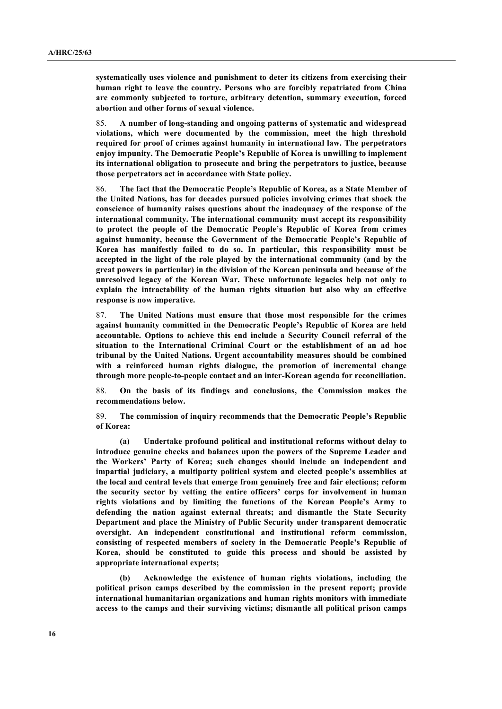**systematically uses violence and punishment to deter its citizens from exercising their human right to leave the country. Persons who are forcibly repatriated from China are commonly subjected to torture, arbitrary detention, summary execution, forced abortion and other forms of sexual violence.**

85. **A number of long-standing and ongoing patterns of systematic and widespread violations, which were documented by the commission, meet the high threshold required for proof of crimes against humanity in international law. The perpetrators enjoy impunity. The Democratic People's Republic of Korea is unwilling to implement its international obligation to prosecute and bring the perpetrators to justice, because those perpetrators act in accordance with State policy.**

86. **The fact that the Democratic People's Republic of Korea, as a State Member of the United Nations, has for decades pursued policies involving crimes that shock the conscience of humanity raises questions about the inadequacy of the response of the international community. The international community must accept its responsibility to protect the people of the Democratic People's Republic of Korea from crimes against humanity, because the Government of the Democratic People's Republic of Korea has manifestly failed to do so. In particular, this responsibility must be accepted in the light of the role played by the international community (and by the great powers in particular) in the division of the Korean peninsula and because of the unresolved legacy of the Korean War. These unfortunate legacies help not only to explain the intractability of the human rights situation but also why an effective response is now imperative.** 

87. **The United Nations must ensure that those most responsible for the crimes against humanity committed in the Democratic People's Republic of Korea are held accountable. Options to achieve this end include a Security Council referral of the situation to the International Criminal Court or the establishment of an ad hoc tribunal by the United Nations. Urgent accountability measures should be combined with a reinforced human rights dialogue, the promotion of incremental change through more people-to-people contact and an inter-Korean agenda for reconciliation.**

88. **On the basis of its findings and conclusions, the Commission makes the recommendations below.**

89. **The commission of inquiry recommends that the Democratic People's Republic of Korea:**

**(a) Undertake profound political and institutional reforms without delay to introduce genuine checks and balances upon the powers of the Supreme Leader and the Workers' Party of Korea; such changes should include an independent and impartial judiciary, a multiparty political system and elected people's assemblies at the local and central levels that emerge from genuinely free and fair elections; reform the security sector by vetting the entire officers' corps for involvement in human rights violations and by limiting the functions of the Korean People's Army to defending the nation against external threats; and dismantle the State Security Department and place the Ministry of Public Security under transparent democratic oversight. An independent constitutional and institutional reform commission, consisting of respected members of society in the Democratic People's Republic of Korea, should be constituted to guide this process and should be assisted by appropriate international experts;**

**(b) Acknowledge the existence of human rights violations, including the political prison camps described by the commission in the present report; provide international humanitarian organizations and human rights monitors with immediate access to the camps and their surviving victims; dismantle all political prison camps**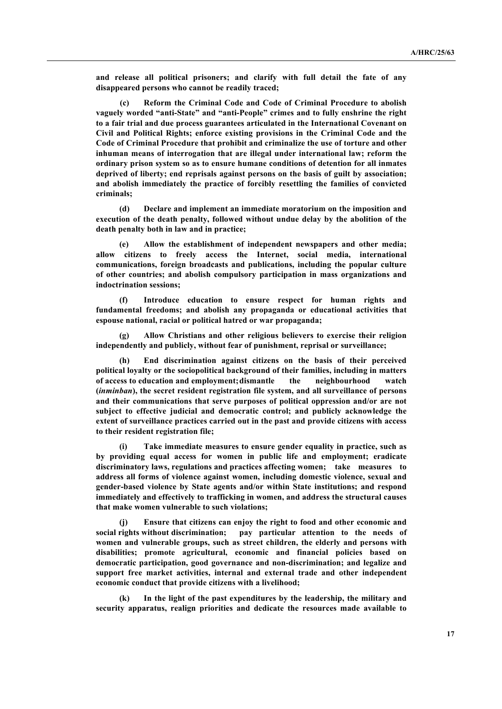**and release all political prisoners; and clarify with full detail the fate of any disappeared persons who cannot be readily traced;**

**(c) Reform the Criminal Code and Code of Criminal Procedure to abolish vaguely worded "anti-State" and "anti-People" crimes and to fully enshrine the right to a fair trial and due process guarantees articulated in the International Covenant on Civil and Political Rights; enforce existing provisions in the Criminal Code and the Code of Criminal Procedure that prohibit and criminalize the use of torture and other inhuman means of interrogation that are illegal under international law; reform the ordinary prison system so as to ensure humane conditions of detention for all inmates deprived of liberty; end reprisals against persons on the basis of guilt by association; and abolish immediately the practice of forcibly resettling the families of convicted criminals;**

**(d) Declare and implement an immediate moratorium on the imposition and execution of the death penalty, followed without undue delay by the abolition of the death penalty both in law and in practice;**

**(e) Allow the establishment of independent newspapers and other media; allow citizens to freely access the Internet, social media, international communications, foreign broadcasts and publications, including the popular culture of other countries; and abolish compulsory participation in mass organizations and indoctrination sessions;**

**(f) Introduce education to ensure respect for human rights and fundamental freedoms; and abolish any propaganda or educational activities that espouse national, racial or political hatred or war propaganda;**

**(g) Allow Christians and other religious believers to exercise their religion independently and publicly, without fear of punishment, reprisal or surveillance;**

**(h) End discrimination against citizens on the basis of their perceived political loyalty or the sociopolitical background of their families, including in matters of access to education and employment;dismantle the neighbourhood watch (***inminban***), the secret resident registration file system, and all surveillance of persons and their communications that serve purposes of political oppression and/or are not subject to effective judicial and democratic control; and publicly acknowledge the extent of surveillance practices carried out in the past and provide citizens with access to their resident registration file;**

**(i) Take immediate measures to ensure gender equality in practice, such as by providing equal access for women in public life and employment; eradicate discriminatory laws, regulations and practices affecting women; take measures to address all forms of violence against women, including domestic violence, sexual and gender-based violence by State agents and/or within State institutions; and respond immediately and effectively to trafficking in women, and address the structural causes that make women vulnerable to such violations;**

**(j) Ensure that citizens can enjoy the right to food and other economic and social rights without discrimination; pay particular attention to the needs of women and vulnerable groups, such as street children, the elderly and persons with disabilities; promote agricultural, economic and financial policies based on democratic participation, good governance and non-discrimination; and legalize and support free market activities, internal and external trade and other independent economic conduct that provide citizens with a livelihood;**

**(k) In the light of the past expenditures by the leadership, the military and security apparatus, realign priorities and dedicate the resources made available to**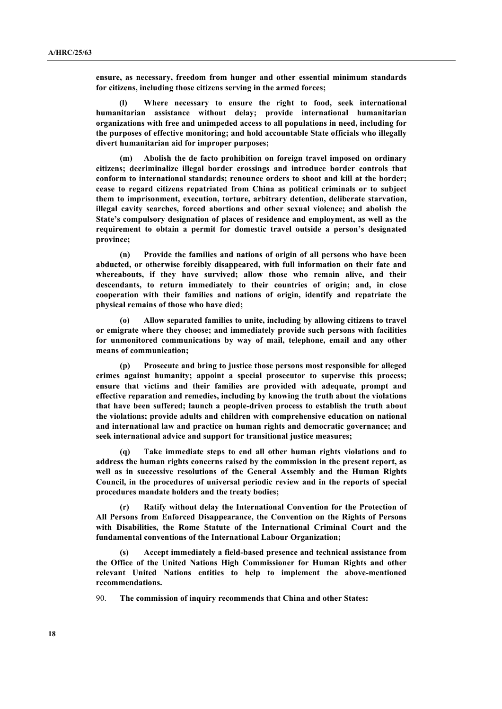**ensure, as necessary, freedom from hunger and other essential minimum standards for citizens, including those citizens serving in the armed forces;**

**(l) Where necessary to ensure the right to food, seek international humanitarian assistance without delay; provide international humanitarian organizations with free and unimpeded access to all populations in need, including for the purposes of effective monitoring; and hold accountable State officials who illegally divert humanitarian aid for improper purposes;**

**(m) Abolish the de facto prohibition on foreign travel imposed on ordinary citizens; decriminalize illegal border crossings and introduce border controls that conform to international standards; renounce orders to shoot and kill at the border; cease to regard citizens repatriated from China as political criminals or to subject them to imprisonment, execution, torture, arbitrary detention, deliberate starvation, illegal cavity searches, forced abortions and other sexual violence; and abolish the State's compulsory designation of places of residence and employment, as well as the requirement to obtain a permit for domestic travel outside a person's designated province;**

**(n) Provide the families and nations of origin of all persons who have been abducted, or otherwise forcibly disappeared, with full information on their fate and whereabouts, if they have survived; allow those who remain alive, and their descendants, to return immediately to their countries of origin; and, in close cooperation with their families and nations of origin, identify and repatriate the physical remains of those who have died;**

**(o) Allow separated families to unite, including by allowing citizens to travel or emigrate where they choose; and immediately provide such persons with facilities for unmonitored communications by way of mail, telephone, email and any other means of communication;**

**(p) Prosecute and bring to justice those persons most responsible for alleged crimes against humanity; appoint a special prosecutor to supervise this process; ensure that victims and their families are provided with adequate, prompt and effective reparation and remedies, including by knowing the truth about the violations that have been suffered; launch a people-driven process to establish the truth about the violations; provide adults and children with comprehensive education on national and international law and practice on human rights and democratic governance; and seek international advice and support for transitional justice measures;**

**(q) Take immediate steps to end all other human rights violations and to address the human rights concerns raised by the commission in the present report, as well as in successive resolutions of the General Assembly and the Human Rights Council, in the procedures of universal periodic review and in the reports of special procedures mandate holders and the treaty bodies;**

**(r) Ratify without delay the International Convention for the Protection of All Persons from Enforced Disappearance, the Convention on the Rights of Persons with Disabilities, the Rome Statute of the International Criminal Court and the fundamental conventions of the International Labour Organization;**

**(s) Accept immediately a field-based presence and technical assistance from the Office of the United Nations High Commissioner for Human Rights and other relevant United Nations entities to help to implement the above-mentioned recommendations.**

90. **The commission of inquiry recommends that China and other States:**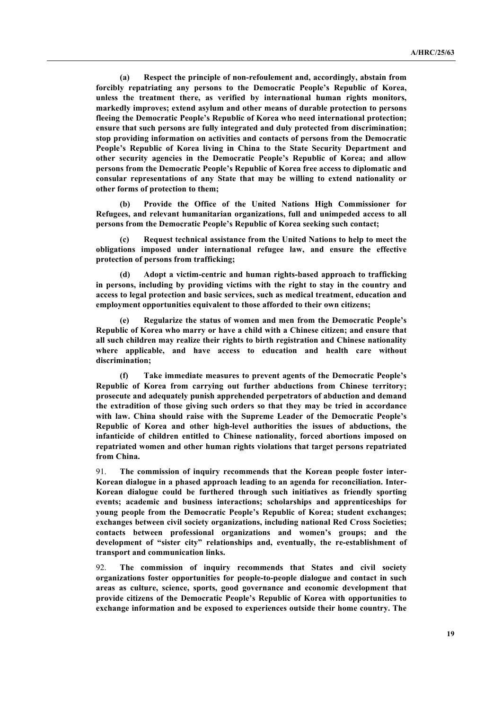**(a) Respect the principle of non-refoulement and, accordingly, abstain from forcibly repatriating any persons to the Democratic People's Republic of Korea, unless the treatment there, as verified by international human rights monitors, markedly improves; extend asylum and other means of durable protection to persons fleeing the Democratic People's Republic of Korea who need international protection; ensure that such persons are fully integrated and duly protected from discrimination; stop providing information on activities and contacts of persons from the Democratic People's Republic of Korea living in China to the State Security Department and other security agencies in the Democratic People's Republic of Korea; and allow persons from the Democratic People's Republic of Korea free access to diplomatic and consular representations of any State that may be willing to extend nationality or other forms of protection to them;**

**(b) Provide the Office of the United Nations High Commissioner for Refugees, and relevant humanitarian organizations, full and unimpeded access to all persons from the Democratic People's Republic of Korea seeking such contact;**

**(c) Request technical assistance from the United Nations to help to meet the obligations imposed under international refugee law, and ensure the effective protection of persons from trafficking;**

**(d) Adopt a victim-centric and human rights-based approach to trafficking in persons, including by providing victims with the right to stay in the country and access to legal protection and basic services, such as medical treatment, education and employment opportunities equivalent to those afforded to their own citizens;**

**(e) Regularize the status of women and men from the Democratic People's Republic of Korea who marry or have a child with a Chinese citizen; and ensure that all such children may realize their rights to birth registration and Chinese nationality where applicable, and have access to education and health care without discrimination;**

**(f) Take immediate measures to prevent agents of the Democratic People's Republic of Korea from carrying out further abductions from Chinese territory; prosecute and adequately punish apprehended perpetrators of abduction and demand the extradition of those giving such orders so that they may be tried in accordance with law. China should raise with the Supreme Leader of the Democratic People's Republic of Korea and other high-level authorities the issues of abductions, the infanticide of children entitled to Chinese nationality, forced abortions imposed on repatriated women and other human rights violations that target persons repatriated from China.** 

91. **The commission of inquiry recommends that the Korean people foster inter-Korean dialogue in a phased approach leading to an agenda for reconciliation. Inter-Korean dialogue could be furthered through such initiatives as friendly sporting events; academic and business interactions; scholarships and apprenticeships for young people from the Democratic People's Republic of Korea; student exchanges; exchanges between civil society organizations, including national Red Cross Societies; contacts between professional organizations and women's groups; and the development of "sister city" relationships and, eventually, the re-establishment of transport and communication links.** 

92. **The commission of inquiry recommends that States and civil society organizations foster opportunities for people-to-people dialogue and contact in such areas as culture, science, sports, good governance and economic development that provide citizens of the Democratic People's Republic of Korea with opportunities to exchange information and be exposed to experiences outside their home country. The**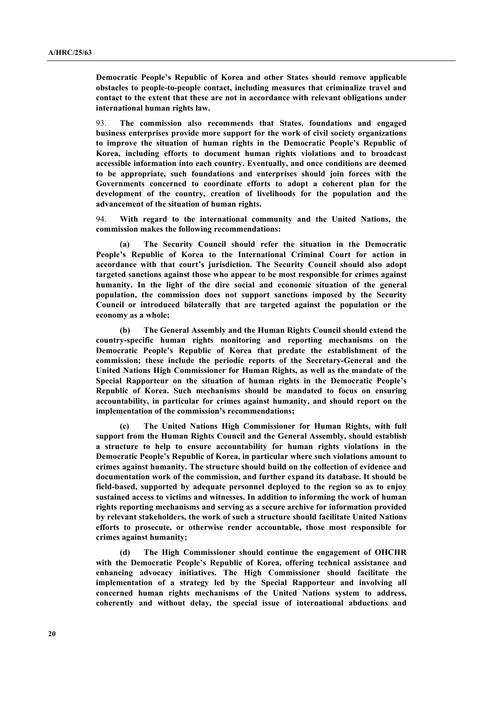**Democratic People's Republic of Korea and other States should remove applicable obstacles to people-to-people contact, including measures that criminalize travel and contact to the extent that these are not in accordance with relevant obligations under international human rights law.**

93. **The commission also recommends that States, foundations and engaged business enterprises provide more support for the work of civil society organizations to improve the situation of human rights in the Democratic People's Republic of Korea, including efforts to document human rights violations and to broadcast accessible information into each country. Eventually, and once conditions are deemed to be appropriate, such foundations and enterprises should join forces with the Governments concerned to coordinate efforts to adopt a coherent plan for the development of the country, creation of livelihoods for the population and the advancement of the situation of human rights.**

94. **With regard to the international community and the United Nations, the commission makes the following recommendations:**

**(a) The Security Council should refer the situation in the Democratic People's Republic of Korea to the International Criminal Court for action in accordance with that court's jurisdiction. The Security Council should also adopt targeted sanctions against those who appear to be most responsible for crimes against humanity. In the light of the dire social and economic situation of the general population, the commission does not support sanctions imposed by the Security Council or introduced bilaterally that are targeted against the population or the economy as a whole;**

**(b) The General Assembly and the Human Rights Council should extend the country-specific human rights monitoring and reporting mechanisms on the Democratic People's Republic of Korea that predate the establishment of the commission; these include the periodic reports of the Secretary-General and the United Nations High Commissioner for Human Rights, as well as the mandate of the Special Rapporteur on the situation of human rights in the Democratic People's Republic of Korea. Such mechanisms should be mandated to focus on ensuring accountability, in particular for crimes against humanity, and should report on the implementation of the commission's recommendations;**

**(c) The United Nations High Commissioner for Human Rights, with full support from the Human Rights Council and the General Assembly, should establish a structure to help to ensure accountability for human rights violations in the Democratic People's Republic of Korea, in particular where such violations amount to crimes against humanity. The structure should build on the collection of evidence and documentation work of the commission, and further expand its database. It should be field-based, supported by adequate personnel deployed to the region so as to enjoy sustained access to victims and witnesses. In addition to informing the work of human rights reporting mechanisms and serving as a secure archive for information provided by relevant stakeholders, the work of such a structure should facilitate United Nations efforts to prosecute, or otherwise render accountable, those most responsible for crimes against humanity;**

**(d) The High Commissioner should continue the engagement of OHCHR with the Democratic People's Republic of Korea, offering technical assistance and enhancing advocacy initiatives. The High Commissioner should facilitate the implementation of a strategy led by the Special Rapporteur and involving all concerned human rights mechanisms of the United Nations system to address, coherently and without delay, the special issue of international abductions and**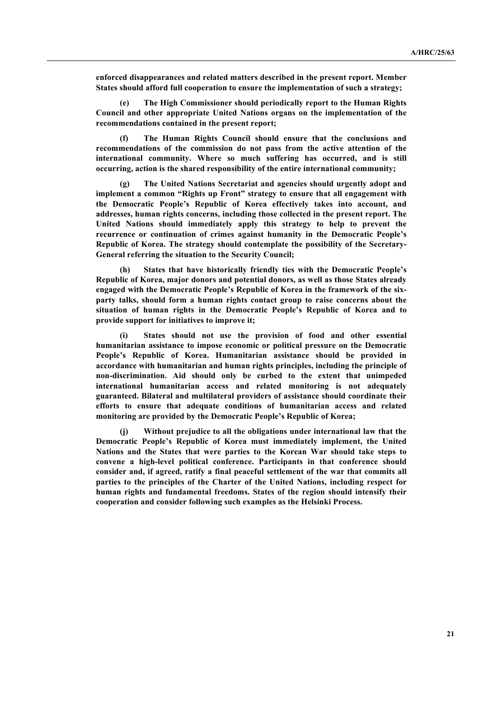**enforced disappearances and related matters described in the present report. Member States should afford full cooperation to ensure the implementation of such a strategy;**

**(e) The High Commissioner should periodically report to the Human Rights Council and other appropriate United Nations organs on the implementation of the recommendations contained in the present report;**

**(f) The Human Rights Council should ensure that the conclusions and recommendations of the commission do not pass from the active attention of the international community. Where so much suffering has occurred, and is still occurring, action is the shared responsibility of the entire international community;**

**(g) The United Nations Secretariat and agencies should urgently adopt and implement a common "Rights up Front" strategy to ensure that all engagement with the Democratic People's Republic of Korea effectively takes into account, and addresses, human rights concerns, including those collected in the present report. The United Nations should immediately apply this strategy to help to prevent the recurrence or continuation of crimes against humanity in the Democratic People's Republic of Korea. The strategy should contemplate the possibility of the Secretary-General referring the situation to the Security Council;**

**(h) States that have historically friendly ties with the Democratic People's Republic of Korea, major donors and potential donors, as well as those States already engaged with the Democratic People's Republic of Korea in the framework of the sixparty talks, should form a human rights contact group to raise concerns about the situation of human rights in the Democratic People's Republic of Korea and to provide support for initiatives to improve it;**

**(i) States should not use the provision of food and other essential humanitarian assistance to impose economic or political pressure on the Democratic People's Republic of Korea. Humanitarian assistance should be provided in accordance with humanitarian and human rights principles, including the principle of non-discrimination. Aid should only be curbed to the extent that unimpeded international humanitarian access and related monitoring is not adequately guaranteed. Bilateral and multilateral providers of assistance should coordinate their efforts to ensure that adequate conditions of humanitarian access and related monitoring are provided by the Democratic People's Republic of Korea;**

**(j) Without prejudice to all the obligations under international law that the Democratic People's Republic of Korea must immediately implement, the United Nations and the States that were parties to the Korean War should take steps to convene a high-level political conference. Participants in that conference should consider and, if agreed, ratify a final peaceful settlement of the war that commits all parties to the principles of the Charter of the United Nations, including respect for human rights and fundamental freedoms. States of the region should intensify their cooperation and consider following such examples as the Helsinki Process.**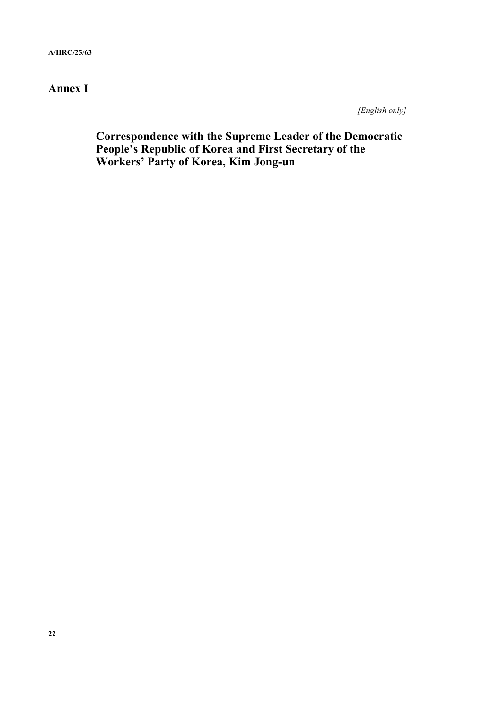# **Annex I**

*[English only]*

**Correspondence with the Supreme Leader of the Democratic People's Republic of Korea and First Secretary of the Workers' Party of Korea, Kim Jong-un**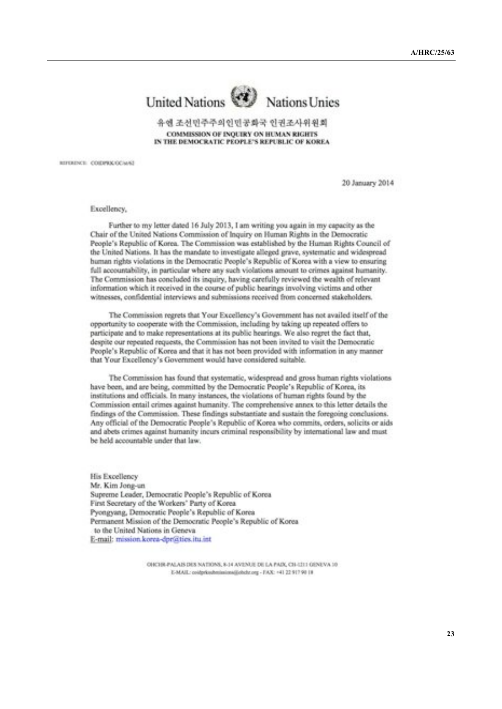

유엔 조선민주주의인민공화국 인권조사위원회 COMMISSION OF INQUIRY ON HUMAN RIGHTS IN THE DEMOCRATIC PEOPLE'S REPUBLIC OF KOREA

RIFERENCE: COEDPRICOC/6062

20 January 2014

#### Excellency,

Further to my letter dated 16 July 2013, I am writing you again in my capacity as the Chair of the United Nations Commission of Inquiry on Human Rights in the Democratic People's Republic of Korea. The Commission was established by the Human Rights Council of the United Nations. It has the mandate to investigate alleged grave, systematic and widespread human rights violations in the Democratic People's Republic of Korea with a view to ensuring full accountability, in particular where any such violations amount to crimes against humanity. The Commission has concluded its inquiry, having carefully reviewed the wealth of relevant information which it received in the course of public hearings involving victims and other witnesses, confidential interviews and submissions received from concerned stakeholders.

The Commission regrets that Your Excellency's Government has not availed itself of the opportunity to cooperate with the Commission, including by taking up repeated offers to participate and to make representations at its public hearings. We also regret the fact that, despite our repeated requests, the Commission has not been invited to visit the Democratic People's Republic of Korea and that it has not been provided with information in any manner that Your Excellency's Government would have considered suitable.

The Commission has found that systematic, widespread and gross human rights violations have been, and are being, committed by the Democratic People's Republic of Korea, its institutions and officials. In many instances, the violations of human rights found by the Commission entail crimes against humanity. The comprehensive annex to this letter details the findings of the Commission. These findings substantiate and sustain the foregoing conclusions. Any official of the Democratic People's Republic of Korea who commits, orders, solicits or aids and abets crimes against humanity incurs criminal responsibility by international law and must be held accountable under that law.

His Excellency Mr. Kim Jong-un Supreme Leader, Democratic People's Republic of Korea First Secretary of the Workers' Party of Korea Pyongyang, Democratic People's Republic of Korea Permanent Mission of the Democratic People's Republic of Korea to the United Nations in Geneva E-mail: mission.korea-dpr@ties.itu.int

> ORCHR PALAIS DES NATIONS, 8-14 AVENUE DE LA PAIX, CH-LÍ11 GENEVA 10 E-MAIL: coidprice/brokes/industrial/educate - FAX: +41 22 917 90 18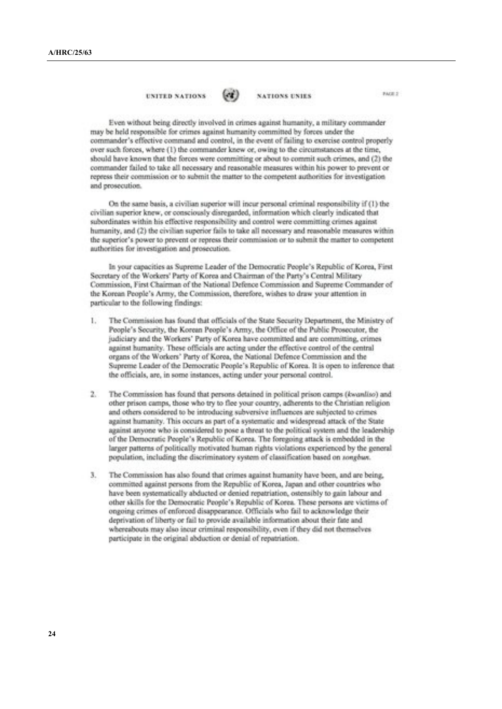**NATIONS UNIES** 

PAGE 2

Even without being directly involved in crimes against humanity, a military commander may be held responsible for crimes against humanity committed by forces under the commander's effective command and control, in the event of failing to exercise control properly over such forces, where (1) the commander knew or, owing to the circumstances at the time, should have known that the forces were committing or about to commit such crimes, and (2) the commander failed to take all necessary and reasonable measures within his power to prevent or repress their commission or to submit the matter to the competent authorities for investigation and prosecution.

 $(x)$ 

On the same basis, a civilian superior will incur personal criminal responsibility if (1) the civilian superior knew, or consciously disregarded, information which clearly indicated that subordinates within his effective responsibility and control were committing crimes against humanity, and (2) the civilian superior fails to take all necessary and reasonable measures within the superior's power to prevent or repress their commission or to submit the matter to competent authorities for investigation and prosecution.

In your capacities as Supreme Leader of the Democratic People's Republic of Korea, First Secretary of the Workers' Party of Korea and Chairman of the Party's Central Military Commission, First Chairman of the National Defence Commission and Supreme Commander of the Korean People's Army, the Commission, therefore, wishes to draw your attention in particular to the following findings:

- Ŀ The Commission has found that officials of the State Security Department, the Ministry of People's Security, the Korean People's Army, the Office of the Public Prosecutor, the judiciary and the Workers' Party of Korea have committed and are committing, crimes against humanity. These officials are acting under the effective control of the central organs of the Workers' Party of Korea, the National Defence Commission and the Supreme Leader of the Democratic People's Republic of Korea. It is open to inference that the officials, are, in some instances, acting under your personal control.
- The Commission has found that persons detained in political prison camps (kwanliso) and  $2.7$ other prison camps, those who try to flee your country, adherents to the Christian religion and others considered to be introducing subversive influences are subjected to crimes against humanity. This occurs as part of a systematic and widespread attack of the State against anyone who is considered to pose a threat to the political system and the leadership of the Democratic People's Republic of Korea. The foregoing attack is embedded in the larger patterns of politically motivated human rights violations experienced by the general population, including the discriminatory system of classification based on zongbun.
- 3. The Commission has also found that crimes against humanity have been, and are being, committed against persons from the Republic of Korea, Japan and other countries who have been systematically abducted or denied repatriation, ostensibly to gain labour and other skills for the Democratic People's Republic of Korea. These persons are victims of ongoing crimes of enforced disappearance. Officials who fail to acknowledge their deprivation of liberty or fail to provide available information about their fate and whereabouts may also incur criminal responsibility, even if they did not themselves participate in the original abduction or denial of repatriation.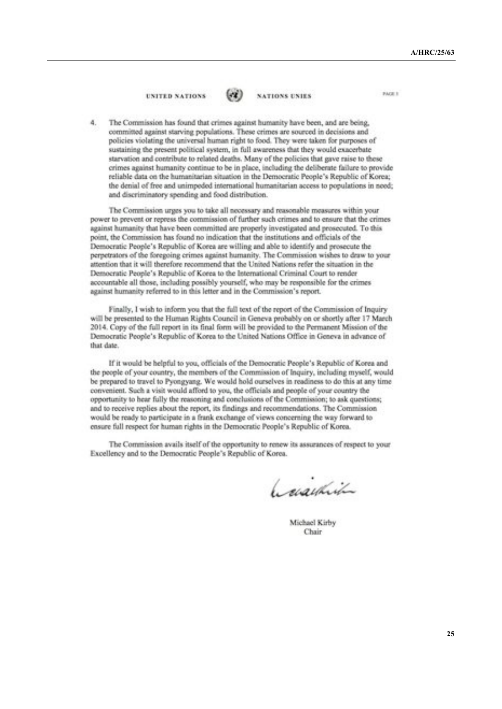

**NATIONS UNIES** 

**PAGE 1** 

4 The Commission has found that crimes against humanity have been, and are being, committed against starving populations. These crimes are sourced in decisions and policies violating the universal human right to food. They were taken for purposes of sustaining the present political system, in full awareness that they would exacerbate starvation and contribute to related deaths. Many of the policies that gave raise to these crimes against humanity continue to be in place, including the deliberate failure to provide reliable data on the humanitarian situation in the Democratic People's Republic of Korea; the denial of free and unimpeded international humanitarian access to populations in need; and discriminatory spending and food distribution.

The Commission urges you to take all necessary and reasonable measures within your power to prevent or repress the commission of further such crimes and to ensure that the crimes against humanity that have been committed are properly investigated and prosecuted. To this point, the Commission has found no indication that the institutions and officials of the Democratic People's Republic of Korea are willing and able to identify and prosecute the perpetrators of the foregoing crimes against humanity. The Commission wishes to draw to your attention that it will therefore recommend that the United Nations refer the situation in the Democratic People's Republic of Korea to the International Criminal Court to render accountable all those, including possibly yourself, who may be responsible for the crimes against humanity referred to in this letter and in the Commission's report.

Finally, I wish to inform you that the full text of the report of the Commission of Inquiry will be presented to the Human Rights Council in Geneva probably on or shortly after 17 March 2014. Copy of the full report in its final form will be provided to the Permanent Mission of the Democratic People's Republic of Korea to the United Nations Office in Geneva in advance of that date.

If it would be helpful to you, officials of the Democratic People's Republic of Korea and the people of your country, the members of the Commission of Inquiry, including myself, would be prepared to travel to Pyongyang. We would hold ourselves in readiness to do this at any time convenient. Such a visit would afford to you, the officials and people of your country the opportunity to hear fully the reasoning and conclusions of the Commission; to ask questions; and to receive replies about the report, its findings and recommendations. The Commission would be ready to participate in a frank exchange of views concerning the way forward to ensure full respect for human rights in the Democratic People's Republic of Korea.

The Commission avails itself of the opportunity to renew its assurances of respect to your Excellency and to the Democratic People's Republic of Korea.

Lacachile

Michael Kirby Chair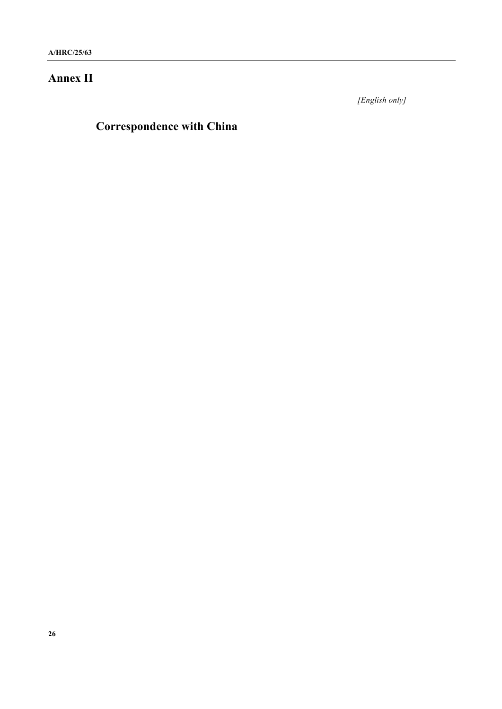# **Annex II**

*[English only]*

# **Correspondence with China**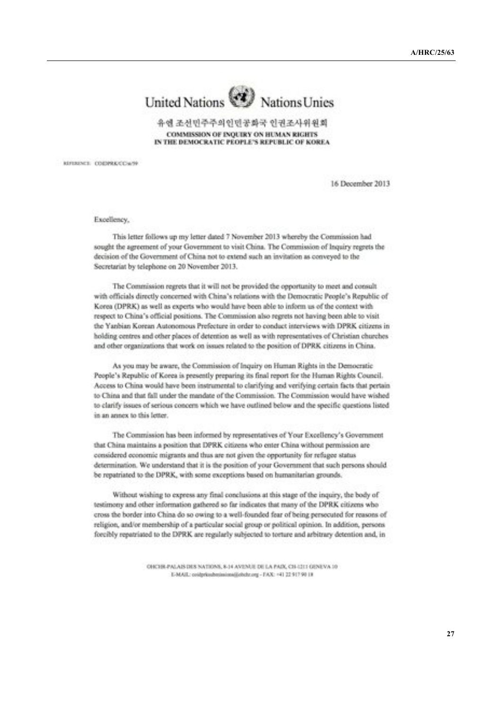

유엔 조선민주주의인민공화국 인권조사위원회 COMMISSION OF INQUIRY ON HUMAN RIGHTS IN THE DEMOCRATIC PEOPLE'S REPUBLIC OF KOREA

MERINEE COENSUCCIONS

16 December 2013

Excellency,

This letter follows up my letter dated 7 November 2013 whereby the Commission had sought the agreement of your Government to visit China. The Commission of Inquiry regrets the decision of the Government of China not to extend such an invitation as conveyed to the Secretariat by telephone on 20 November 2013.

The Commission regrets that it will not be provided the opportunity to meet and consult with officials directly concerned with China's relations with the Democratic People's Republic of Korea (DPRK) as well as experts who would have been able to inform us of the context with respect to China's official positions. The Commission also regrets not having been able to visit the Yanbian Korean Autonomous Prefecture in order to conduct interviews with DPRK citizens in holding centres and other places of detention as well as with representatives of Christian churches and other organizations that work on issues related to the position of DPRK citizens in China.

As you may be aware, the Commission of Inquiry on Human Rights in the Democratic People's Republic of Korea is presently preparing its final report for the Human Rights Council. Access to China would have been instrumental to clarifying and verifying certain facts that pertain to China and that fall under the mandate of the Commission. The Commission would have wished to clarify issues of serious concern which we have outlined below and the specific questions listed in an annex to this letter.

The Commission has been informed by representatives of Your Excellency's Government that China maintains a position that DPRK citizens who enter China without permission are considered economic migrants and thus are not given the opportunity for refugee status determination. We understand that it is the position of your Government that such persons should. be repatriated to the DPRK, with some exceptions based on humanitarian grounds.

Without wishing to express any final conclusions at this stage of the inquiry, the body of testimony and other information gathered so far indicates that many of the DPRK citizens who cross the border into China do so owing to a well-founded fear of being persecuted for reasons of religion, and/or membership of a particular social group or political opinion. In addition, persons forcibly repatriated to the DPRK are regularly subjected to torture and arbitrary detention and, in

> ORCHR-PALAIS DES NATIONS, 8-14 AVENUE DE LA PAIX, CH-LITI GENEVA 10 E-MAIL: coidprisubminima@obdsz.org - FAX: +41 22 917 90 18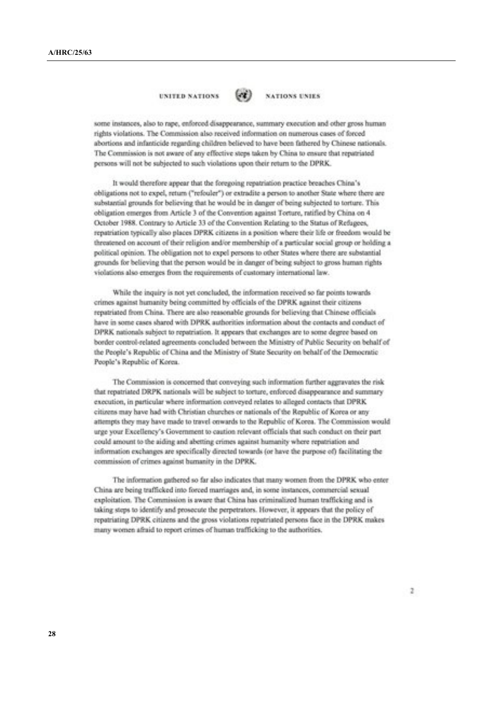**NATIONS UNIES** 

some instances, also to rape, enforced disappearance, summary execution and other gross human rights violations. The Commission also received information on numerous cases of forced abortions and infanticide regarding children believed to have been fathered by Chinese nationals. The Commission is not aware of any effective steps taken by China to ensure that repatriated persons will not be subjected to such violations upon their return to the DPRK.

(r)

It would therefore appear that the foregoing repatriation practice breaches China's obligations not to expel, return ("refouler") or extradite a person to another State where there are substantial grounds for believing that he would be in danger of being subjected to torture. This obligation emerges from Article 3 of the Convention against Torture, ratified by China on 4 October 1988. Contrary to Article 33 of the Convention Relating to the Status of Refugees, repatriation typically also places DPRK citizens in a position where their life or freedom would be threatened on account of their religion and/or membership of a particular social group or holding a political opinion. The obligation not to expel persons to other States where there are substantial grounds for believing that the person would be in danger of being subject to gross human rights violations also emerges from the requirements of customary international law.

While the inquiry is not yet concluded, the information received so far points towards crimes against humanity being committed by officials of the DPRK against their citizens repatriated from China. There are also reasonable grounds for believing that Chinese officials have in some cases shared with DPRK authorities information about the contacts and conduct of DPRK nationals subject to repatriation. It appears that exchanges are to some degree based on border control-related agreements concluded between the Ministry of Public Security on behalf of the People's Republic of China and the Ministry of State Security on behalf of the Democratic People's Republic of Korea.

The Commission is concerned that conveying such information further aggravates the risk that repatriated DRPK nationals will be subject to torture, enforced disappearance and summary execution, in particular where information conveyed relates to alleged contacts that DPRK citizens may have had with Christian churches or nationals of the Republic of Korea or any attempts they may have made to travel onwards to the Republic of Korea. The Commission would urge your Excellency's Government to caution relevant officials that such conduct on their part could amount to the aiding and abetting crimes against humanity where repatriation and information exchanges are specifically directed towards (or have the purpose of) facilitating the commission of crimes against burnanity in the DPRK.

The information gathered so far also indicates that many women from the DPRK who enter China are being trafficked into forced marriages and, in some instances, commercial sexual exploitation. The Commission is aware that China has criminalized human trafficking and is taking steps to identify and prosecute the perpetrators. However, it appears that the policy of repatriating DPRK citizens and the gross violations repatriated persons face in the DPRK makes many women afraid to report crimes of human trafficking to the authorities.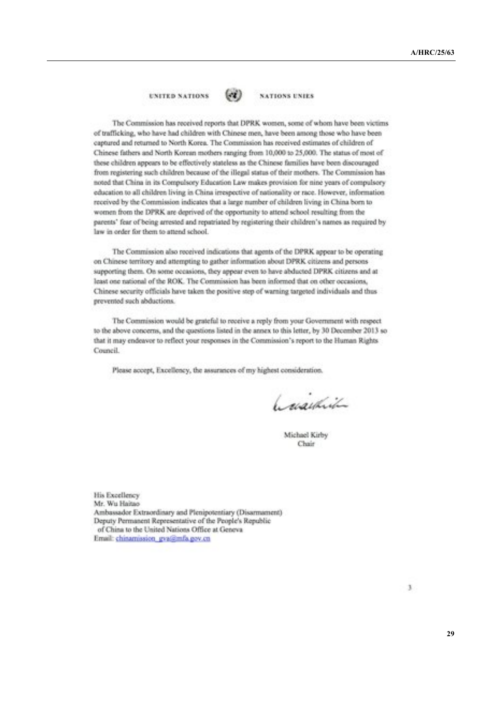**NATIONS UNIES** 

The Commission has received reports that DPRK women, some of whom have been victims of trafficking, who have had children with Chinese men, have been among those who have been captured and returned to North Korea. The Commission has received estimates of children of Chinese fathers and North Korean mothers ranging from 10,000 to 25,000. The status of most of these children appears to be effectively stateless as the Chinese families have been discouraged from registering such children because of the illegal status of their mothers. The Commission has noted that China in its Compulsory Education Law makes provision for nine years of compulsory education to all children living in China irrespective of nationality or race. However, information received by the Commission indicates that a large number of children living in China born to women from the DPRK are deprived of the opportunity to attend school resulting from the parents' fear of being arrested and repatriated by registering their children's names as required by law in order for them to attend school.

(72)

The Commission also received indications that agents of the DPRK appear to be operating on Chinese territory and attempting to gather information about DPRK citizens and persons supporting them. On some occasions, they appear even to have abducted DPRK citizens and at least one national of the ROK. The Commission has been informed that on other occasions, Chinese security officials have taken the positive step of warning targeted individuals and thus prevented such abductions.

The Commission would be grateful to receive a reply from your Government with respect to the above concerns, and the questions listed in the annex to this letter, by 30 December 2013 so that it may endeavee to reflect your responses in the Commission's report to the Human Rights Council.

Please accept, Excellency, the assurances of my highest consideration.

Laidhil

Michael Kirby Chair

His Excellency Mr. Wu Haitao Ambassador Extraordinary and Plenipotentiary (Disarmament) Deputy Permanent Representative of the People's Republic of China to the United Nations Office at Geneva Email: chinamission\_gva@mfa.gov.cn

3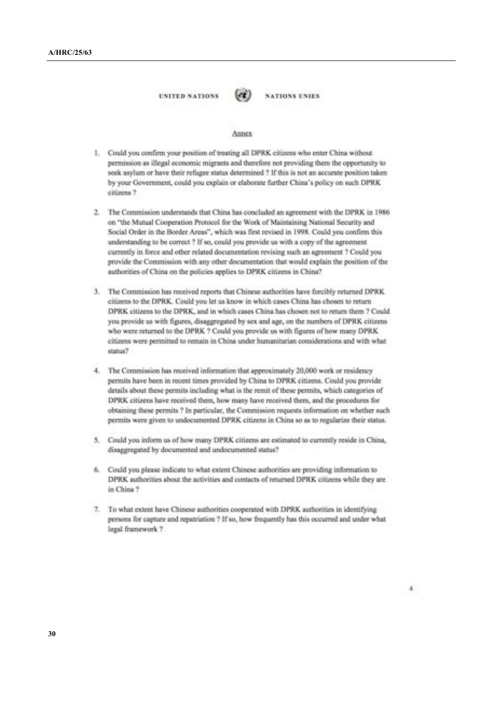

#### Annex

LW.

- 1. Could you confirm your position of treating all DPRK citizens who enter China without permission as illegal economic migrants and therefore not providing them the opportunity to seek asylum or have their refugee status determined ? If this is not an accurate position taken by your Government, could you explain or elaborate further China's policy on such DPRK citizens?
- 2. The Commission understands that China has concluded an agreement with the DPRK in 1986 on "the Mutual Cooperation Protocol for the Work of Maintaining National Security and Social Order in the Border Areas", which was first revised in 1998. Could you confirm this understanding to be correct ? If so, could you provide us with a copy of the agreement currently in force and other related documentation revising such an agreement ? Could you provide the Commission with any other documentation that would explain the position of the authorities of China on the policies applies to DPRK citizens in China?
- 3. The Commission has received reports that Chinese authorities have forcibly returned DPRK. citizens to the DPRK. Could you let us know in which cases China has chosen to return DPRK citizens to the DPRK, and in which cases China has chosen not to return them ? Could you provide us with figures, disaggregated by sex and age, on the numbers of DPRK citizens who were returned to the DPRK ? Could you provide us with figures of how many DPRK citizens were permitted to remain in China under humanitarian considerations and with what status?
- 4. The Commission has received information that approximately 20,000 work or residency permits have been in recent times provided by China to DPRK citizens. Could you provide details about these permits including what is the remit of these permits, which categories of DPRK citizens have received them, how many have received them, and the procedures for obtaining these permits ? In particular, the Commission requests information on whether such permits were given to undocumented DPRK citizens in China so as to regularize their status.
- 5. Could you inform us of how many DPRK citizens are estimated to currently reside in China, disaggregated by documented and undocumented status?
- 6. Could you please indicate to what extent Chinese authorities are providing information to DPRK authorities about the activities and contacts of returned DPRK citizens while they are in China?
- 7. To what extent have Chinese authorities cooperated with DPRK authorities in identifying persons for capture and repatriation ? If so, how frequently has this occurred and under what legal framework?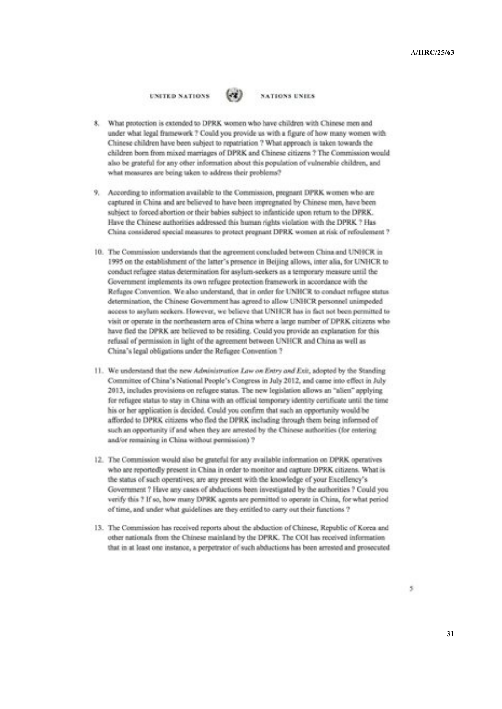**NATIONS UNIES** 

8. What protection is extended to DPRK women who have children with Chinese men and under what legal framework ? Could you provide us with a figure of how many women with Chinese children have been subject to repatriation ? What approach is taken towards the children born from mixed marriages of DPRK and Chinese citizens ? The Commission would also be grateful for any other information about this population of vulnerable children, and what measures are being taken to address their problems?

(r)

- 9. According to information available to the Commission, pregnant DPRK women who are captured in China and are believed to have been impregnated by Chinese men, have been subject to forced abortion or their babies subject to infanticide upon return to the DPRK. Have the Chinese authorities addressed this human rights violation with the DPRK ? Has China considered special measures to protect pregnant DPRK women at risk of refoulement ?
- 10. The Commission understands that the agreement concluded between China and UNHCR in 1995 on the establishment of the latter's presence in Beijing allows, inter alia, for UNHCR to conduct refugee status determination for asylum-seekers as a temporary measure until the Government implements its own refugee protection framework in accordance with the Refugee Convention. We also understand, that in order for UNHCR to conduct refugee status determination, the Chinese Government has agreed to allow UNHCR personnel unimpeded access to asylum seekers. However, we believe that UNHCR has in fact not been permitted to visit or operate in the northeastern area of China where a large number of DPRK citizens who have fled the DPRK are believed to be residing. Could you provide an explanation for this refusal of permission in light of the agreement between UNHCR and China as well as China's legal obligations under the Refugee Convention?
- 11. We understand that the new Administration Law on Entry and Exit, adopted by the Standing Committee of China's National People's Congress in July 2012, and came into effect in July 2013, includes provisions on refugee status. The new legislation allows an "alien" applying for refugee status to stay in China with an official temporary identity certificate until the time his or her application is decided. Could you confirm that such an opportunity would be afforded to DPRK citizens who fled the DPRK including through them being informed of such an opportunity if and when they are arrested by the Chinese authorities (for entering and/or remaining in China without permission) ?
- 12. The Commission would also be grateful for any available information on DPRK operatives who are reportedly present in China in order to monitor and capture DPRK citizens. What is the status of such operatives; are any present with the knowledge of your Excellency's Government ? Have any cases of abductions been investigated by the authorities ? Could you verify this 7 If so, how many DPRK agents are permitted to operate in China, for what period of time, and under what guidelines are they entitled to carry out their functions ?
- 13. The Commission has received reports about the abduction of Chinese, Republic of Korea and other nationals from the Chinese mainland by the DPRK. The COI has received information that in at least one instance, a perpetrator of such abductions has been arrested and prosecuted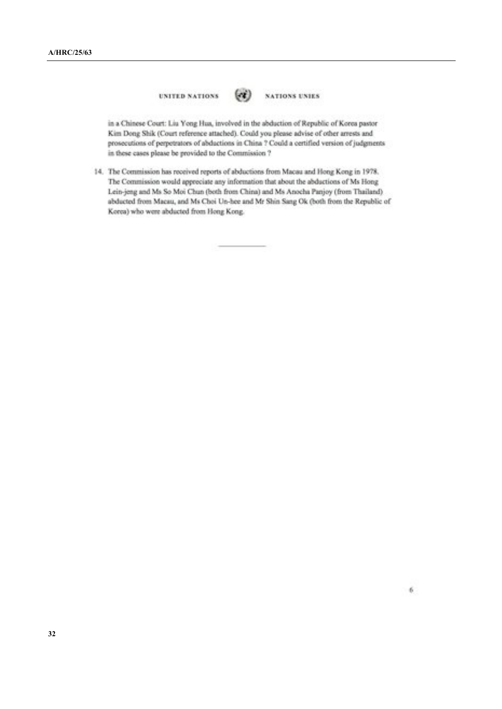**NATIONS UNIES** 

in a Chinese Court: Liu Yong Hua, involved in the abduction of Republic of Korea pastor Kim Dong Shik (Court reference attached). Could you please advise of other arrests and prosecutions of perpetrators of abductions in China ? Could a certified version of judgments in these cases please be provided to the Commission ?

69)

14. The Commission has received reports of abductions from Macau and Hong Kong in 1978. The Commission would appreciate any information that about the abductions of Ms Hong Lein-jeng and Ms So Moi Chun (both from China) and Ms Anocha Panjoy (from Thailand) abducted from Macau, and Ms Choi Un-hee and Mr Shin Sang Ok (both from the Republic of Korea) who were abducted from Hong Kong.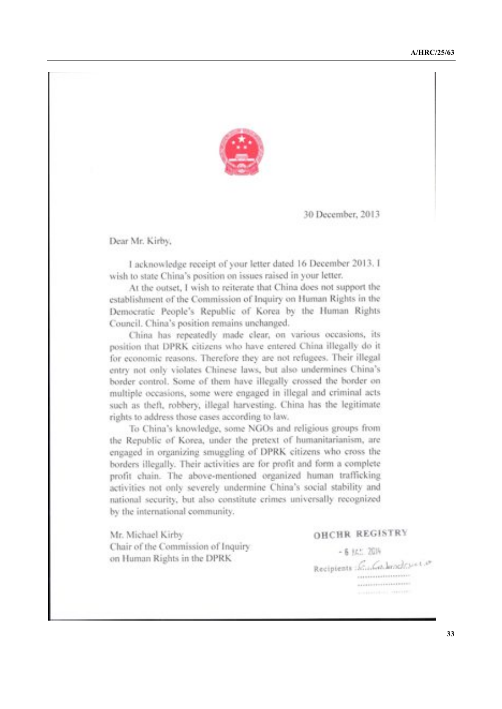

30 December, 2013

Dear Mr. Kirby,

I acknowledge receipt of your letter dated 16 December 2013. I wish to state China's position on issues raised in your letter.

At the outset, I wish to reiterate that China does not support the establishment of the Commission of Inquiry on Human Rights in the Democratic People's Republic of Korea by the Human Rights Council. China's position remains unchanged.

China has repeatedly made clear, on various occasions, its position that DPRK citizens who have entered China illegally do it for economic reasons. Therefore they are not refugees. Their illegal entry not only violates Chinese laws, but also undermines China's border control. Some of them have illegally crossed the border on multiple occasions, some were engaged in illegal and criminal acts such as theft, robbery, illegal harvesting. China has the legitimate rights to address those cases according to law.

To China's knowledge, some NGOs and religious groups from the Republic of Korea, under the pretext of humanitarianism, are engaged in organizing smuggling of DPRK citizens who cross the borders illegally. Their activities are for profit and form a complete profit chain. The above-mentioned organized human trafficking activities not only severely undermine China's social stability and national security, but also constitute crimes universally recognized by the international community.

Mr. Michael Kirby Chair of the Commission of Inquiry on Human Rights in the DPRK

### **OHCHR REGISTRY**

- 6 141 2014 Recipients : Sculat Jacobson CONTRACTORSES AGGINEERING CORPO **ACCEPTED VIENES**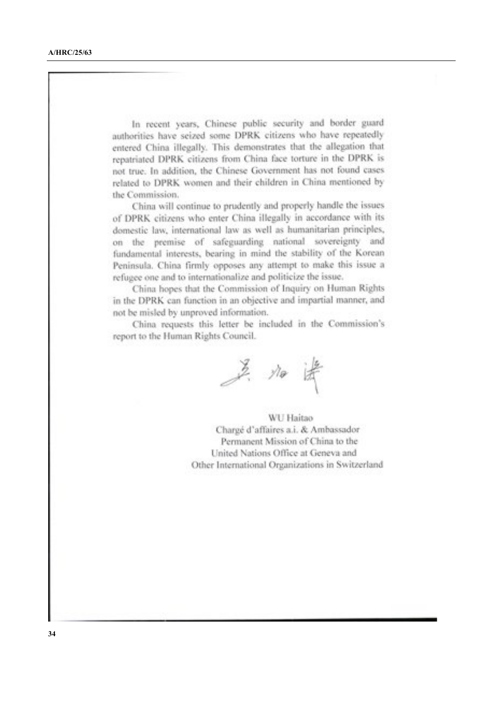In recent years, Chinese public security and border guard authorities have seized some DPRK citizens who have repeatedly entered China illegally. This demonstrates that the allegation that repatriated DPRK citizens from China face torture in the DPRK is not true. In addition, the Chinese Government has not found cases related to DPRK women and their children in China mentioned by the Commission.

China will continue to prudently and properly handle the issues of DPRK citizens who enter China illegally in accordance with its domestic law, international law as well as humanitarian principles, on the premise of safeguarding national sovereignty and fundamental interests, bearing in mind the stability of the Korean Peninsula. China firmly opposes any attempt to make this issue a refugee one and to internationalize and politicize the issue.

China hopes that the Commission of Inquiry on Human Rights in the DPRK can function in an objective and impartial manner, and not be misled by unproved information.

China requests this letter be included in the Commission's report to the Human Rights Council.

是加速

WU Haitao Chargé d'affaires a.i. & Ambassador Permanent Mission of China to the United Nations Office at Geneva and Other International Organizations in Switzerland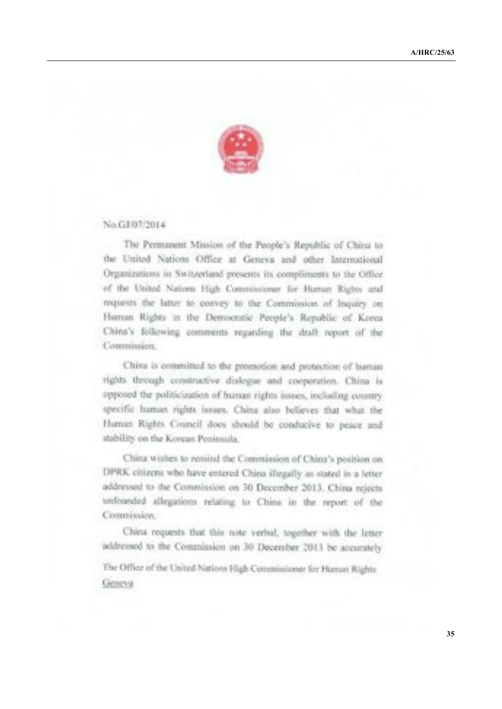

#### No.G107/2014

The Permanent Mission of the People's Republic of Chiru to the United Nations Office at Geneva and other International Organizations in Switzerland presents its compliments to the Office of the United Nations High Commissioner for Human Rights and requests the latter to convey to the Commission of Inquiry on Human Rights in the Democratic People's Republic of Korea China's following comments regarding the draft report of the Commission.

China is committed to the promotion and protection of buman rights through constructive dialogue and cooperation. China is opposed the politicization of human rights issues, including country specific human rights issues. China also believes that what the Human Rights Council does should be conducive to peace and stability on the Korean Peninsula.

China wishes to remind the Commission of China's position on DPRK citizens who have entered China illegally as stated in a letter addressed to the Commission on 30 December 2013. China rejects unfounded allegations relating to China in the report of the Commission.

China requests that this note verbal, together with the letter addressed to the Commission on 30 December 2013 be accurately

The Office of the United Nations High Commissioner for Human Rights. Geneva